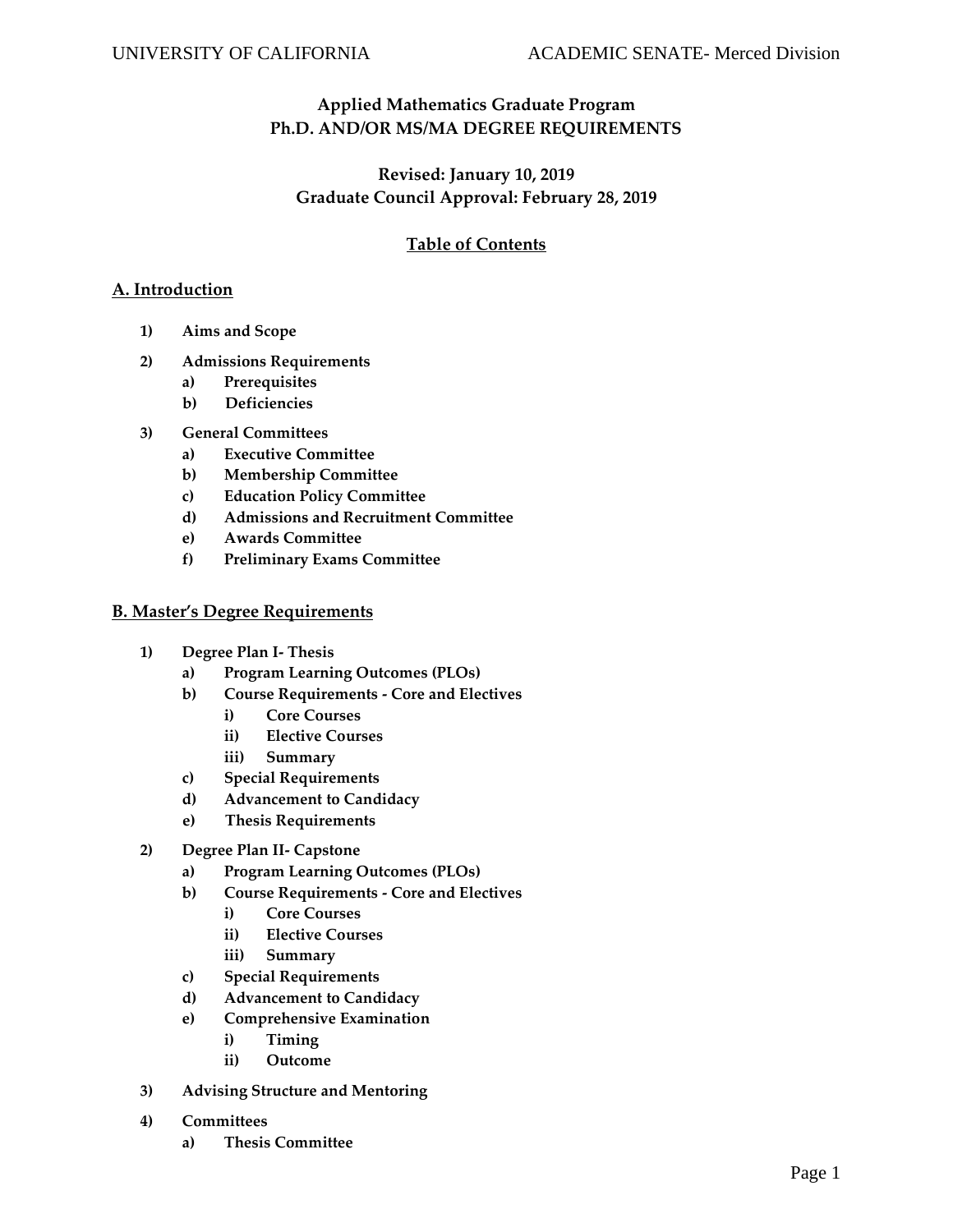# **Applied Mathematics Graduate Program Ph.D. AND/OR MS/MA DEGREE REQUIREMENTS**

# **Revised: January 10, 2019 Graduate Council Approval: February 28, 2019**

# **Table of Contents**

### **A. Introduction**

- **1) Aims and Scope**
- **2) Admissions Requirements**
	- **a) Prerequisites**
	- **b) Deficiencies**
- **3) General Committees**
	- **a) Executive Committee**
	- **b) Membership Committee**
	- **c) Education Policy Committee**
	- **d) Admissions and Recruitment Committee**
	- **e) Awards Committee**
	- **f) Preliminary Exams Committee**

#### **B. Master's Degree Requirements**

- **1) Degree Plan I- Thesis** 
	- **a) Program Learning Outcomes (PLOs)**
	- **b) Course Requirements - Core and Electives** 
		- **i) Core Courses**
		- **ii) Elective Courses**
		- **iii) Summary**
	- **c) Special Requirements**
	- **d) Advancement to Candidacy**
	- **e) Thesis Requirements**
- **2) Degree Plan II- Capstone**
	- **a) Program Learning Outcomes (PLOs)**
	- **b) Course Requirements - Core and Electives** 
		- **i) Core Courses**
		- **ii) Elective Courses**
		- **iii) Summary**
	- **c) Special Requirements**
	- **d) Advancement to Candidacy**
	- **e) Comprehensive Examination** 
		- **i) Timing**
		- **ii) Outcome**
- **3) Advising Structure and Mentoring**
- **4) Committees**
	- **a) Thesis Committee**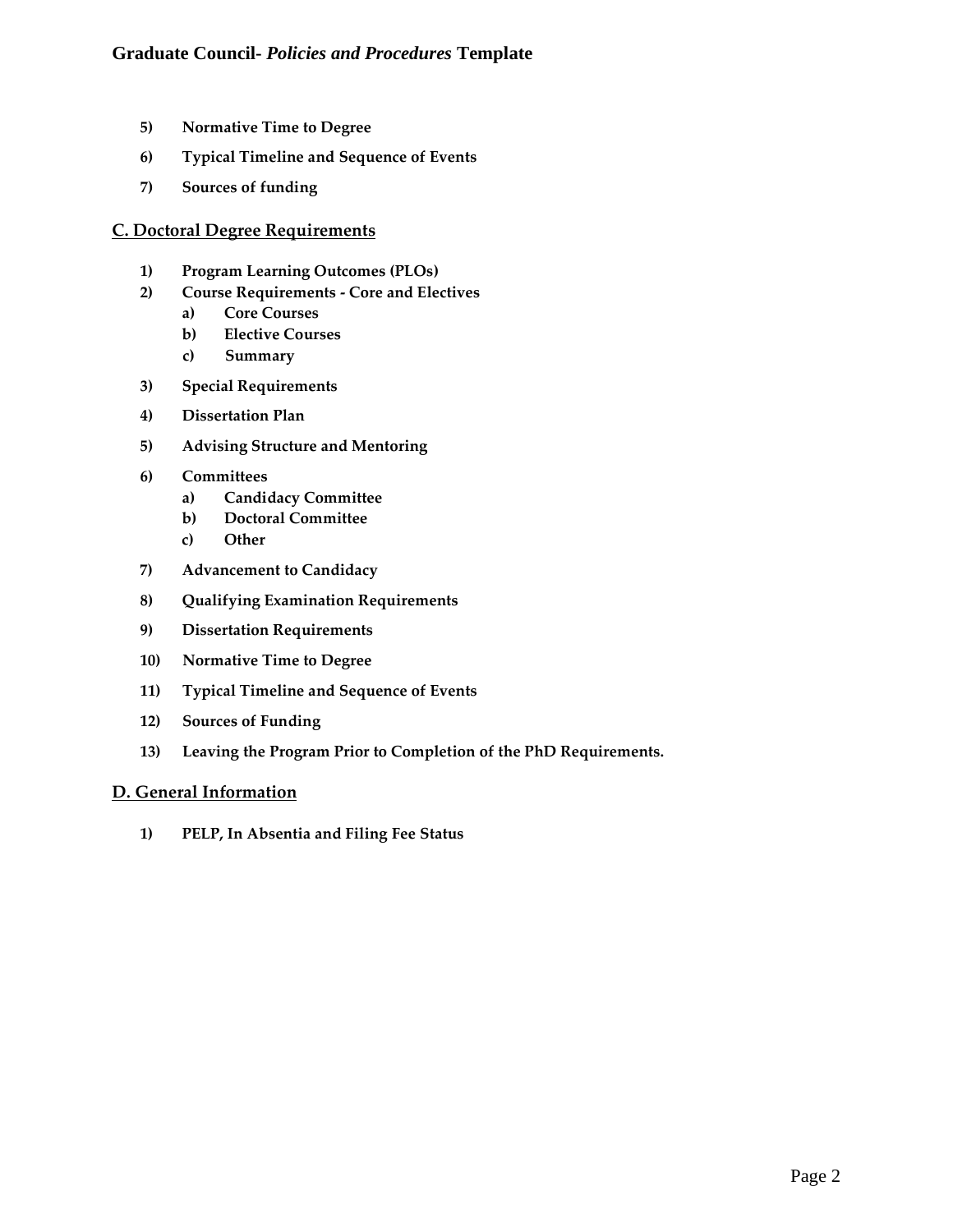- **5) Normative Time to Degree**
- **6) Typical Timeline and Sequence of Events**
- **7) Sources of funding**

#### **C. Doctoral Degree Requirements**

- **1) Program Learning Outcomes (PLOs)**
- **2) Course Requirements - Core and Electives** 
	- **a) Core Courses**
	- **b) Elective Courses**
	- **c) Summary**
- **3) Special Requirements**
- **4) Dissertation Plan**
- **5) Advising Structure and Mentoring**
- **6) Committees** 
	- **a) Candidacy Committee**
	- **b) Doctoral Committee**
	- **c) Other**
- **7) Advancement to Candidacy**
- **8) Qualifying Examination Requirements**
- **9) Dissertation Requirements**
- **10) Normative Time to Degree**
- **11) Typical Timeline and Sequence of Events**
- **12) Sources of Funding**
- **13) Leaving the Program Prior to Completion of the PhD Requirements.**

## **D. General Information**

**1) PELP, In Absentia and Filing Fee Status**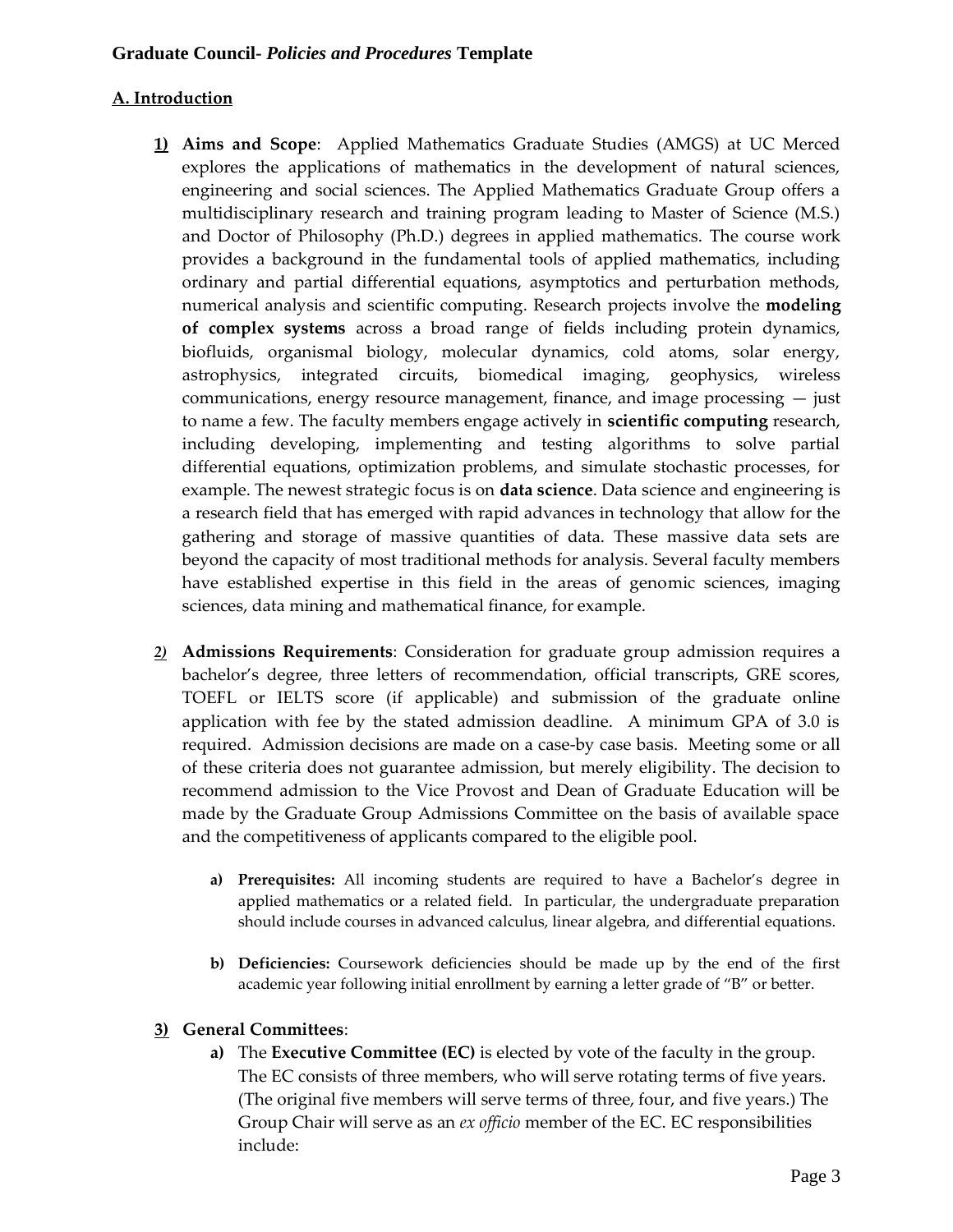# **A. Introduction**

- **1) Aims and Scope**: Applied Mathematics Graduate Studies (AMGS) at UC Merced explores the applications of mathematics in the development of natural sciences, engineering and social sciences. The Applied Mathematics Graduate Group offers a multidisciplinary research and training program leading to Master of Science (M.S.) and Doctor of Philosophy (Ph.D.) degrees in applied mathematics. The course work provides a background in the fundamental tools of applied mathematics, including ordinary and partial differential equations, asymptotics and perturbation methods, numerical analysis and scientific computing. Research projects involve the **modeling of complex systems** across a broad range of fields including protein dynamics, biofluids, organismal biology, molecular dynamics, cold atoms, solar energy, astrophysics, integrated circuits, biomedical imaging, geophysics, wireless communications, energy resource management, finance, and image processing — just to name a few. The faculty members engage actively in **scientific computing** research, including developing, implementing and testing algorithms to solve partial differential equations, optimization problems, and simulate stochastic processes, for example. The newest strategic focus is on **data science**. Data science and engineering is a research field that has emerged with rapid advances in technology that allow for the gathering and storage of massive quantities of data. These massive data sets are beyond the capacity of most traditional methods for analysis. Several faculty members have established expertise in this field in the areas of genomic sciences, imaging sciences, data mining and mathematical finance, for example.
- *2)* **Admissions Requirements**: Consideration for graduate group admission requires a bachelor's degree, three letters of recommendation, official transcripts, GRE scores, TOEFL or IELTS score (if applicable) and submission of the graduate online application with fee by the stated admission deadline. A minimum GPA of 3.0 is required. Admission decisions are made on a case-by case basis. Meeting some or all of these criteria does not guarantee admission, but merely eligibility. The decision to recommend admission to the Vice Provost and Dean of Graduate Education will be made by the Graduate Group Admissions Committee on the basis of available space and the competitiveness of applicants compared to the eligible pool.
	- **a) Prerequisites:** All incoming students are required to have a Bachelor's degree in applied mathematics or a related field. In particular, the undergraduate preparation should include courses in advanced calculus, linear algebra, and differential equations.
	- **b) Deficiencies:** Coursework deficiencies should be made up by the end of the first academic year following initial enrollment by earning a letter grade of "B" or better.

## **3) General Committees**:

**a)** The **Executive Committee (EC)** is elected by vote of the faculty in the group. The EC consists of three members, who will serve rotating terms of five years. (The original five members will serve terms of three, four, and five years.) The Group Chair will serve as an *ex officio* member of the EC. EC responsibilities include: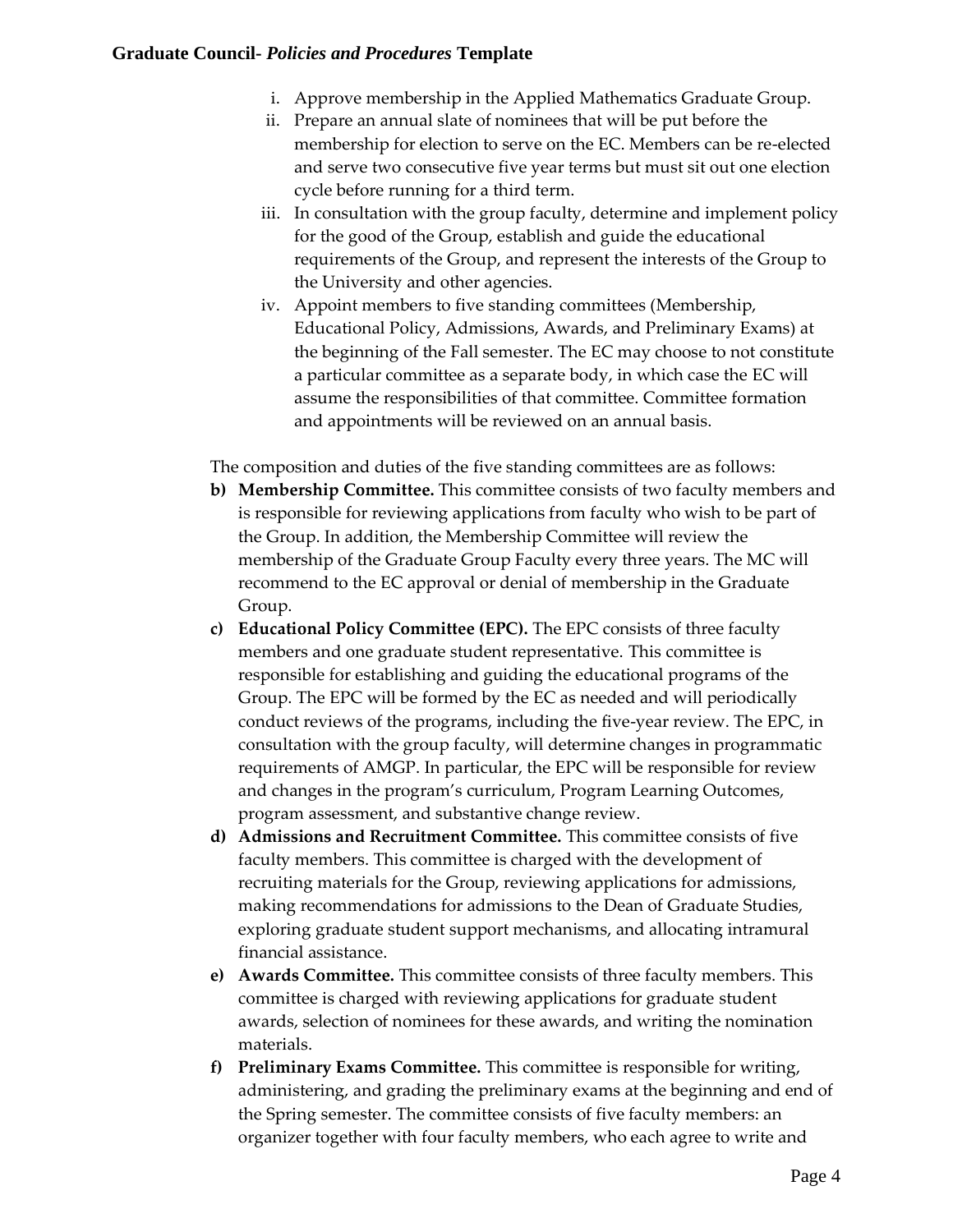- i. Approve membership in the Applied Mathematics Graduate Group.
- ii. Prepare an annual slate of nominees that will be put before the membership for election to serve on the EC. Members can be re-elected and serve two consecutive five year terms but must sit out one election cycle before running for a third term.
- iii. In consultation with the group faculty, determine and implement policy for the good of the Group, establish and guide the educational requirements of the Group, and represent the interests of the Group to the University and other agencies.
- iv. Appoint members to five standing committees (Membership, Educational Policy, Admissions, Awards, and Preliminary Exams) at the beginning of the Fall semester. The EC may choose to not constitute a particular committee as a separate body, in which case the EC will assume the responsibilities of that committee. Committee formation and appointments will be reviewed on an annual basis.

The composition and duties of the five standing committees are as follows:

- **b) Membership Committee.** This committee consists of two faculty members and is responsible for reviewing applications from faculty who wish to be part of the Group. In addition, the Membership Committee will review the membership of the Graduate Group Faculty every three years. The MC will recommend to the EC approval or denial of membership in the Graduate Group.
- **c) Educational Policy Committee (EPC).** The EPC consists of three faculty members and one graduate student representative. This committee is responsible for establishing and guiding the educational programs of the Group. The EPC will be formed by the EC as needed and will periodically conduct reviews of the programs, including the five-year review. The EPC, in consultation with the group faculty, will determine changes in programmatic requirements of AMGP. In particular, the EPC will be responsible for review and changes in the program's curriculum, Program Learning Outcomes, program assessment, and substantive change review.
- **d) Admissions and Recruitment Committee.** This committee consists of five faculty members. This committee is charged with the development of recruiting materials for the Group, reviewing applications for admissions, making recommendations for admissions to the Dean of Graduate Studies, exploring graduate student support mechanisms, and allocating intramural financial assistance.
- **e) Awards Committee.** This committee consists of three faculty members. This committee is charged with reviewing applications for graduate student awards, selection of nominees for these awards, and writing the nomination materials.
- **f) Preliminary Exams Committee.** This committee is responsible for writing, administering, and grading the preliminary exams at the beginning and end of the Spring semester. The committee consists of five faculty members: an organizer together with four faculty members, who each agree to write and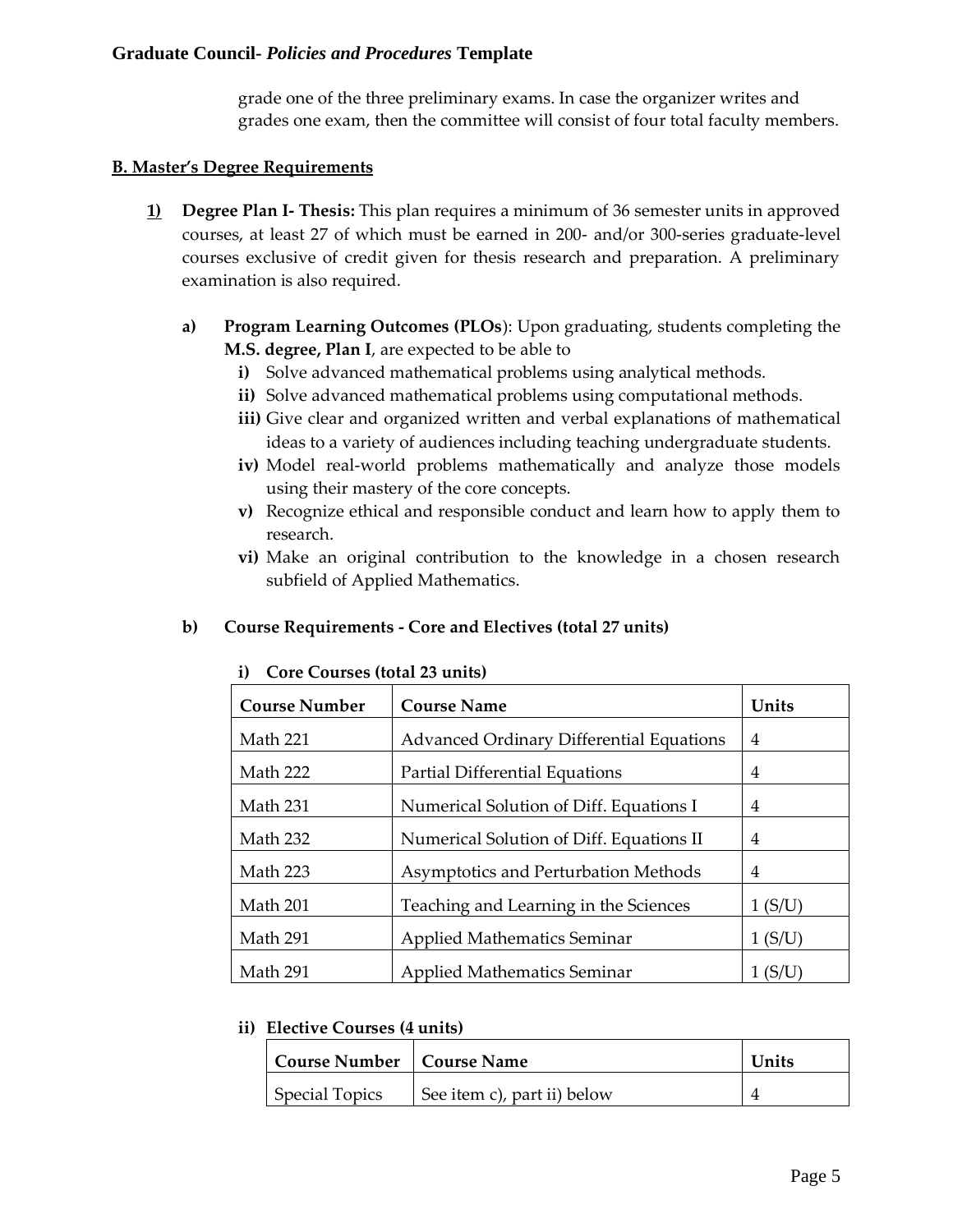grade one of the three preliminary exams. In case the organizer writes and grades one exam, then the committee will consist of four total faculty members.

# **B. Master's Degree Requirements**

- **1) Degree Plan I- Thesis:** This plan requires a minimum of 36 semester units in approved courses, at least 27 of which must be earned in 200- and/or 300-series graduate-level courses exclusive of credit given for thesis research and preparation. A preliminary examination is also required.
	- **a) Program Learning Outcomes (PLOs**): Upon graduating, students completing the **M.S. degree, Plan I**, are expected to be able to
		- **i)** Solve advanced mathematical problems using analytical methods.
		- **ii)** Solve advanced mathematical problems using computational methods.
		- **iii)** Give clear and organized written and verbal explanations of mathematical ideas to a variety of audiences including teaching undergraduate students.
		- **iv)** Model real-world problems mathematically and analyze those models using their mastery of the core concepts.
		- **v)** Recognize ethical and responsible conduct and learn how to apply them to research.
		- **vi)** Make an original contribution to the knowledge in a chosen research subfield of Applied Mathematics.

# **b) Course Requirements - Core and Electives (total 27 units)**

| <b>Course Number</b> | <b>Course Name</b>                              | Units  |
|----------------------|-------------------------------------------------|--------|
| Math 221             | <b>Advanced Ordinary Differential Equations</b> | 4      |
| Math 222             | Partial Differential Equations                  | 4      |
| Math 231             | Numerical Solution of Diff. Equations I         | 4      |
| Math 232             | Numerical Solution of Diff. Equations II        | 4      |
| Math 223             | Asymptotics and Perturbation Methods            | 4      |
| Math 201             | Teaching and Learning in the Sciences           | 1(S/U) |
| Math 291             | <b>Applied Mathematics Seminar</b>              | 1(S/U) |
| Math 291             | <b>Applied Mathematics Seminar</b>              | (S/U)  |

# **i) Core Courses (total 23 units)**

## **ii) Elective Courses (4 units)**

| <b>Course Number   Course Name</b> |                             | Units |
|------------------------------------|-----------------------------|-------|
| <b>Special Topics</b>              | See item c), part ii) below |       |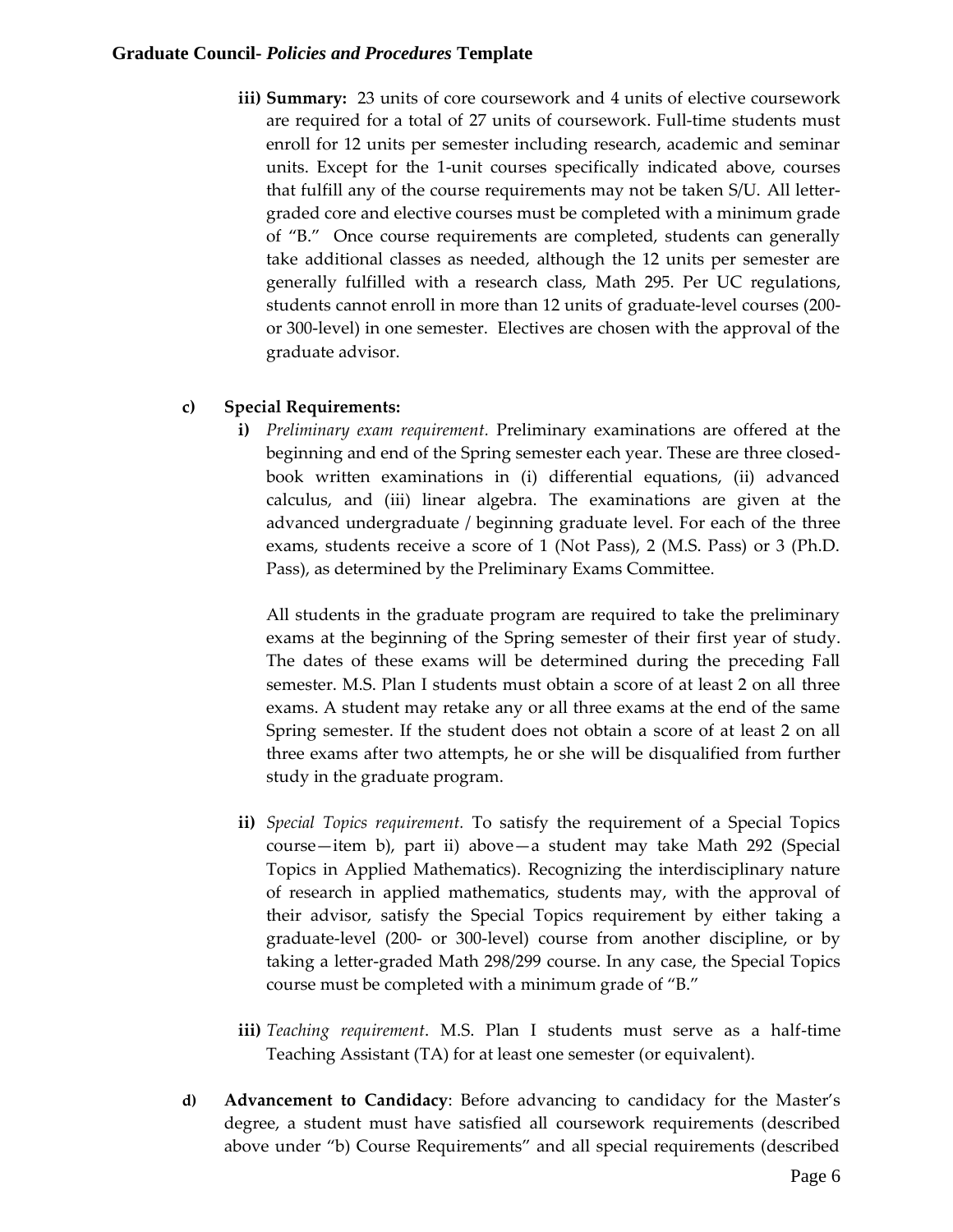**iii) Summary:** 23 units of core coursework and 4 units of elective coursework are required for a total of 27 units of coursework. Full-time students must enroll for 12 units per semester including research, academic and seminar units. Except for the 1-unit courses specifically indicated above, courses that fulfill any of the course requirements may not be taken S/U. All lettergraded core and elective courses must be completed with a minimum grade of "B." Once course requirements are completed, students can generally take additional classes as needed, although the 12 units per semester are generally fulfilled with a research class, Math 295. Per UC regulations, students cannot enroll in more than 12 units of graduate-level courses (200 or 300-level) in one semester. Electives are chosen with the approval of the graduate advisor.

## **c) Special Requirements:**

**i)** *Preliminary exam requirement.* Preliminary examinations are offered at the beginning and end of the Spring semester each year. These are three closedbook written examinations in (i) differential equations, (ii) advanced calculus, and (iii) linear algebra. The examinations are given at the advanced undergraduate / beginning graduate level. For each of the three exams, students receive a score of 1 (Not Pass), 2 (M.S. Pass) or 3 (Ph.D. Pass), as determined by the Preliminary Exams Committee.

All students in the graduate program are required to take the preliminary exams at the beginning of the Spring semester of their first year of study. The dates of these exams will be determined during the preceding Fall semester. M.S. Plan I students must obtain a score of at least 2 on all three exams. A student may retake any or all three exams at the end of the same Spring semester. If the student does not obtain a score of at least 2 on all three exams after two attempts, he or she will be disqualified from further study in the graduate program.

- **ii)** *Special Topics requirement.* To satisfy the requirement of a Special Topics course—item b), part ii) above—a student may take Math 292 (Special Topics in Applied Mathematics). Recognizing the interdisciplinary nature of research in applied mathematics, students may, with the approval of their advisor, satisfy the Special Topics requirement by either taking a graduate-level (200- or 300-level) course from another discipline, or by taking a letter-graded Math 298/299 course. In any case, the Special Topics course must be completed with a minimum grade of "B."
- **iii)** *Teaching requirement*. M.S. Plan I students must serve as a half-time Teaching Assistant (TA) for at least one semester (or equivalent).
- **d) Advancement to Candidacy**: Before advancing to candidacy for the Master's degree, a student must have satisfied all coursework requirements (described above under "b) Course Requirements" and all special requirements (described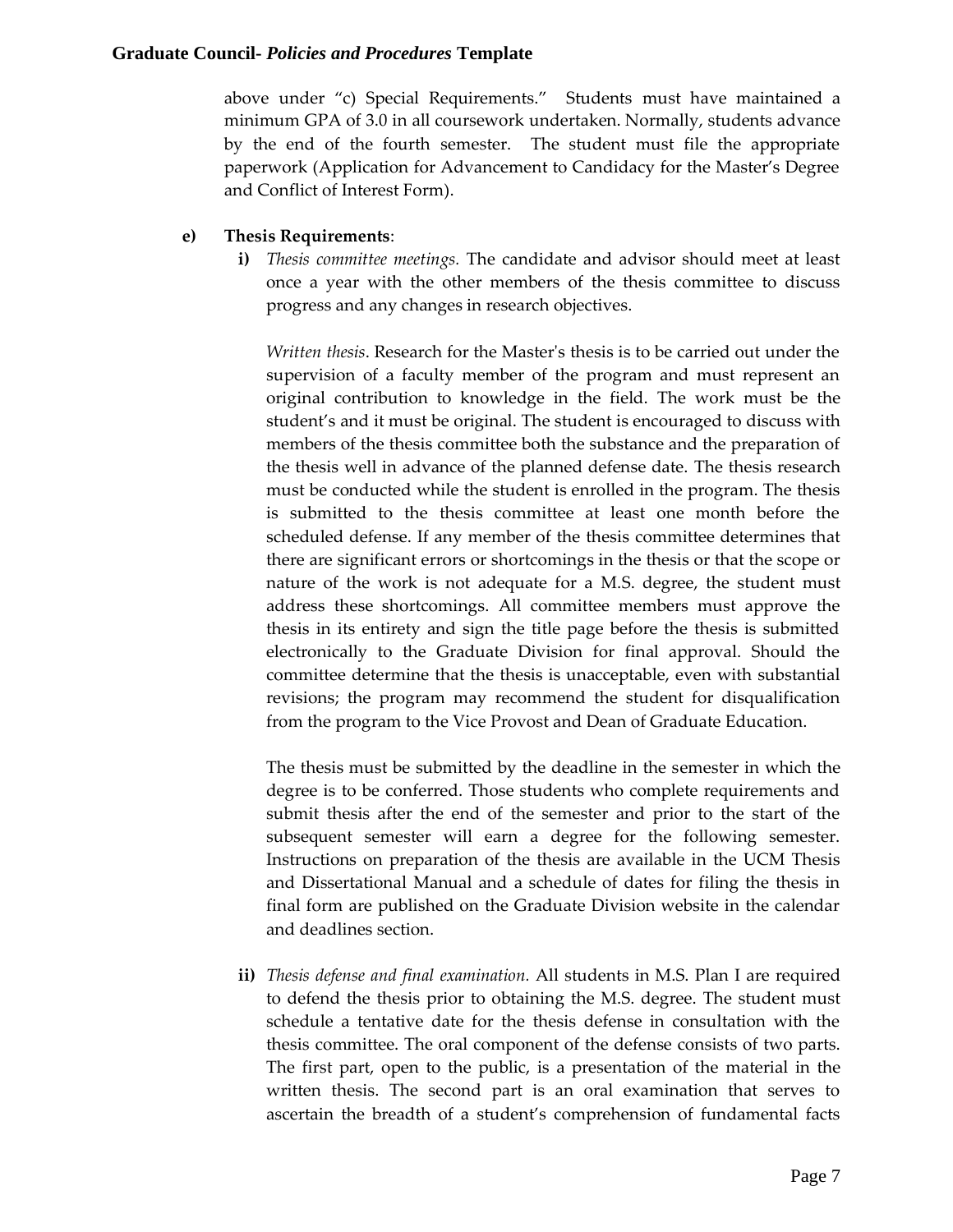above under "c) Special Requirements." Students must have maintained a minimum GPA of 3.0 in all coursework undertaken. Normally, students advance by the end of the fourth semester. The student must file the appropriate paperwork (Application for Advancement to Candidacy for the Master's Degree and Conflict of Interest Form).

### **e) Thesis Requirements**:

**i)** *Thesis committee meetings.* The candidate and advisor should meet at least once a year with the other members of the thesis committee to discuss progress and any changes in research objectives.

*Written thesis*. Research for the Master's thesis is to be carried out under the supervision of a faculty member of the program and must represent an original contribution to knowledge in the field. The work must be the student's and it must be original. The student is encouraged to discuss with members of the thesis committee both the substance and the preparation of the thesis well in advance of the planned defense date. The thesis research must be conducted while the student is enrolled in the program. The thesis is submitted to the thesis committee at least one month before the scheduled defense. If any member of the thesis committee determines that there are significant errors or shortcomings in the thesis or that the scope or nature of the work is not adequate for a M.S. degree, the student must address these shortcomings. All committee members must approve the thesis in its entirety and sign the title page before the thesis is submitted electronically to the Graduate Division for final approval. Should the committee determine that the thesis is unacceptable, even with substantial revisions; the program may recommend the student for disqualification from the program to the Vice Provost and Dean of Graduate Education.

The thesis must be submitted by the deadline in the semester in which the degree is to be conferred. Those students who complete requirements and submit thesis after the end of the semester and prior to the start of the subsequent semester will earn a degree for the following semester. Instructions on preparation of the thesis are available in the UCM Thesis and Dissertational Manual and a schedule of dates for filing the thesis in final form are published on the Graduate Division website in the calendar and deadlines section.

**ii)** *Thesis defense and final examination.* All students in M.S. Plan I are required to defend the thesis prior to obtaining the M.S. degree. The student must schedule a tentative date for the thesis defense in consultation with the thesis committee. The oral component of the defense consists of two parts. The first part, open to the public, is a presentation of the material in the written thesis. The second part is an oral examination that serves to ascertain the breadth of a student's comprehension of fundamental facts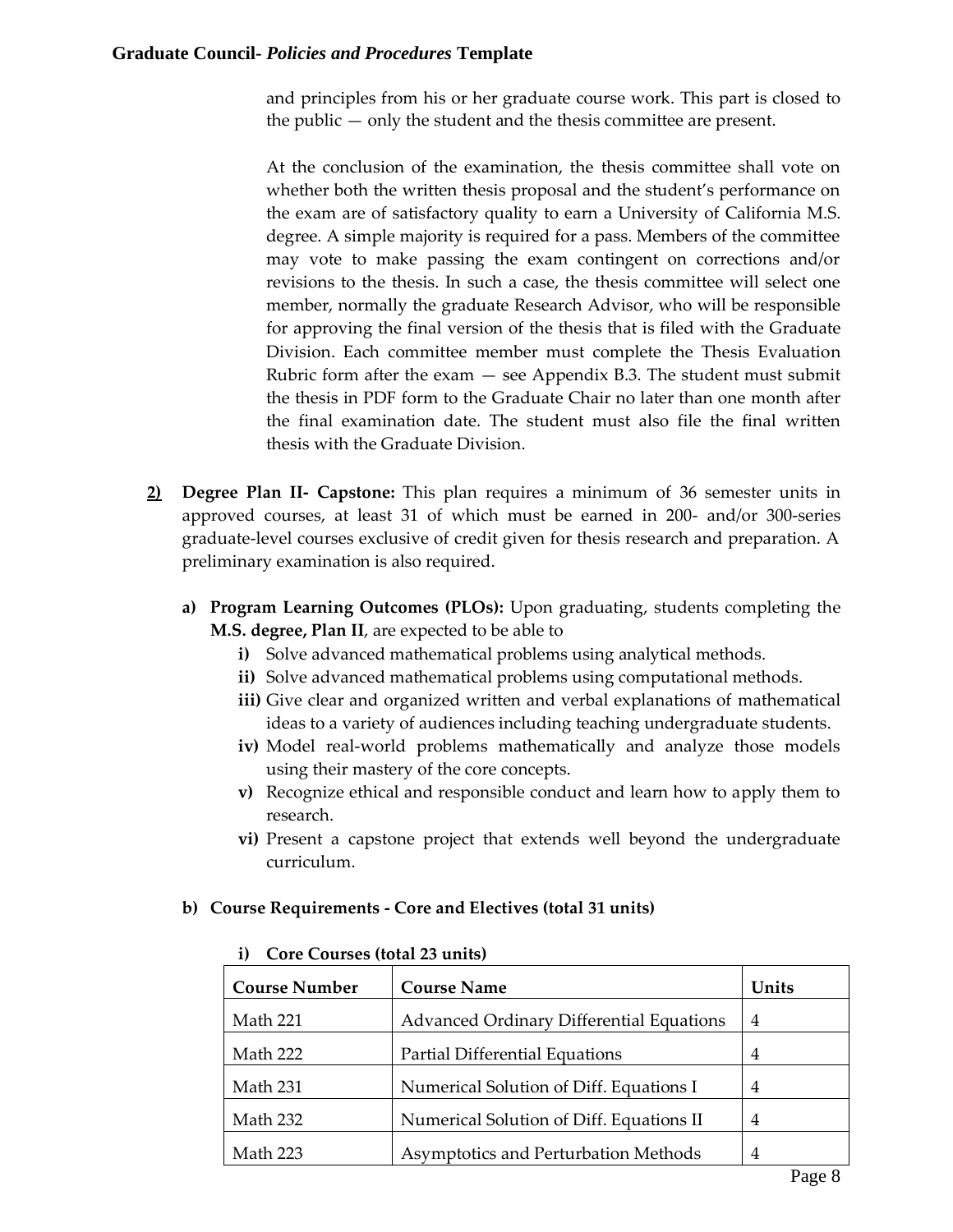and principles from his or her graduate course work. This part is closed to the public — only the student and the thesis committee are present.

At the conclusion of the examination, the thesis committee shall vote on whether both the written thesis proposal and the student's performance on the exam are of satisfactory quality to earn a University of California M.S. degree. A simple majority is required for a pass. Members of the committee may vote to make passing the exam contingent on corrections and/or revisions to the thesis. In such a case, the thesis committee will select one member, normally the graduate Research Advisor, who will be responsible for approving the final version of the thesis that is filed with the Graduate Division. Each committee member must complete the Thesis Evaluation Rubric form after the exam  $-$  see Appendix B.3. The student must submit the thesis in PDF form to the Graduate Chair no later than one month after the final examination date. The student must also file the final written thesis with the Graduate Division.

- **2) Degree Plan II- Capstone:** This plan requires a minimum of 36 semester units in approved courses, at least 31 of which must be earned in 200- and/or 300-series graduate-level courses exclusive of credit given for thesis research and preparation. A preliminary examination is also required.
	- **a) Program Learning Outcomes (PLOs):** Upon graduating, students completing the **M.S. degree, Plan II**, are expected to be able to
		- **i)** Solve advanced mathematical problems using analytical methods.
		- **ii)** Solve advanced mathematical problems using computational methods.
		- **iii)** Give clear and organized written and verbal explanations of mathematical ideas to a variety of audiences including teaching undergraduate students.
		- **iv)** Model real-world problems mathematically and analyze those models using their mastery of the core concepts.
		- **v)** Recognize ethical and responsible conduct and learn how to apply them to research.
		- **vi)** Present a capstone project that extends well beyond the undergraduate curriculum.

## **b) Course Requirements - Core and Electives (total 31 units)**

| <b>Course Number</b> | <b>Course Name</b>                              | Units          |
|----------------------|-------------------------------------------------|----------------|
| Math 221             | <b>Advanced Ordinary Differential Equations</b> | 4              |
| Math 222             | Partial Differential Equations                  | 4              |
| Math 231             | Numerical Solution of Diff. Equations I         | $\overline{4}$ |
| Math 232             | Numerical Solution of Diff. Equations II        | $\overline{4}$ |
| Math 223             | Asymptotics and Perturbation Methods            | 4              |

#### **i) Core Courses (total 23 units)**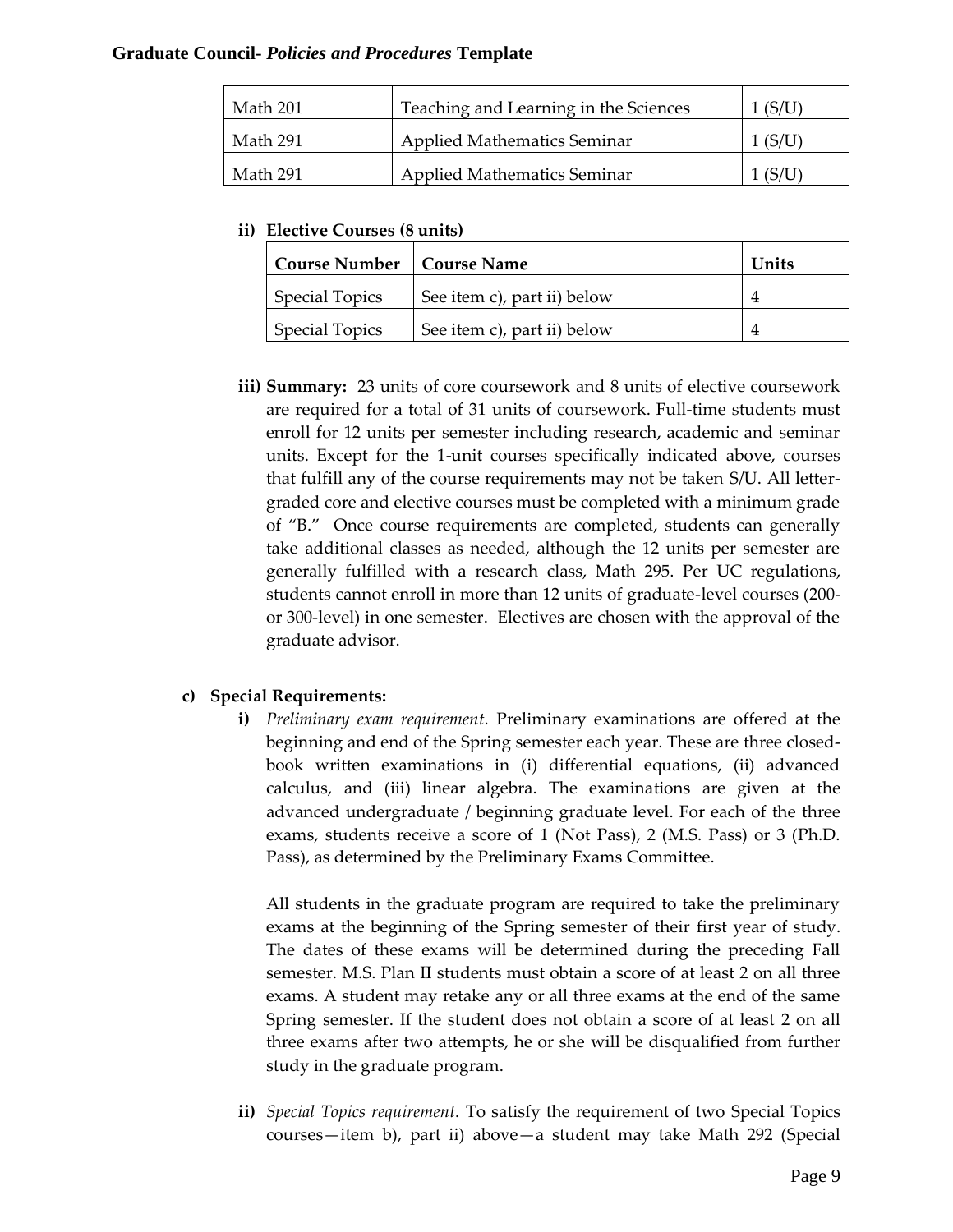| Math 201 | Teaching and Learning in the Sciences |  |
|----------|---------------------------------------|--|
| Math 291 | <b>Applied Mathematics Seminar</b>    |  |
| Math 291 | <b>Applied Mathematics Seminar</b>    |  |

**ii) Elective Courses (8 units)**

| <b>Course Number   Course Name</b> |                             | Units |
|------------------------------------|-----------------------------|-------|
| <b>Special Topics</b>              | See item c), part ii) below |       |
| <b>Special Topics</b>              | See item c), part ii) below |       |

**iii) Summary:** 23 units of core coursework and 8 units of elective coursework are required for a total of 31 units of coursework. Full-time students must enroll for 12 units per semester including research, academic and seminar units. Except for the 1-unit courses specifically indicated above, courses that fulfill any of the course requirements may not be taken S/U. All lettergraded core and elective courses must be completed with a minimum grade of "B." Once course requirements are completed, students can generally take additional classes as needed, although the 12 units per semester are generally fulfilled with a research class, Math 295. Per UC regulations, students cannot enroll in more than 12 units of graduate-level courses (200 or 300-level) in one semester. Electives are chosen with the approval of the graduate advisor.

## **c) Special Requirements:**

**i)** *Preliminary exam requirement.* Preliminary examinations are offered at the beginning and end of the Spring semester each year. These are three closedbook written examinations in (i) differential equations, (ii) advanced calculus, and (iii) linear algebra. The examinations are given at the advanced undergraduate / beginning graduate level. For each of the three exams, students receive a score of 1 (Not Pass), 2 (M.S. Pass) or 3 (Ph.D. Pass), as determined by the Preliminary Exams Committee.

All students in the graduate program are required to take the preliminary exams at the beginning of the Spring semester of their first year of study. The dates of these exams will be determined during the preceding Fall semester. M.S. Plan II students must obtain a score of at least 2 on all three exams. A student may retake any or all three exams at the end of the same Spring semester. If the student does not obtain a score of at least 2 on all three exams after two attempts, he or she will be disqualified from further study in the graduate program.

**ii)** *Special Topics requirement.* To satisfy the requirement of two Special Topics courses—item b), part ii) above—a student may take Math 292 (Special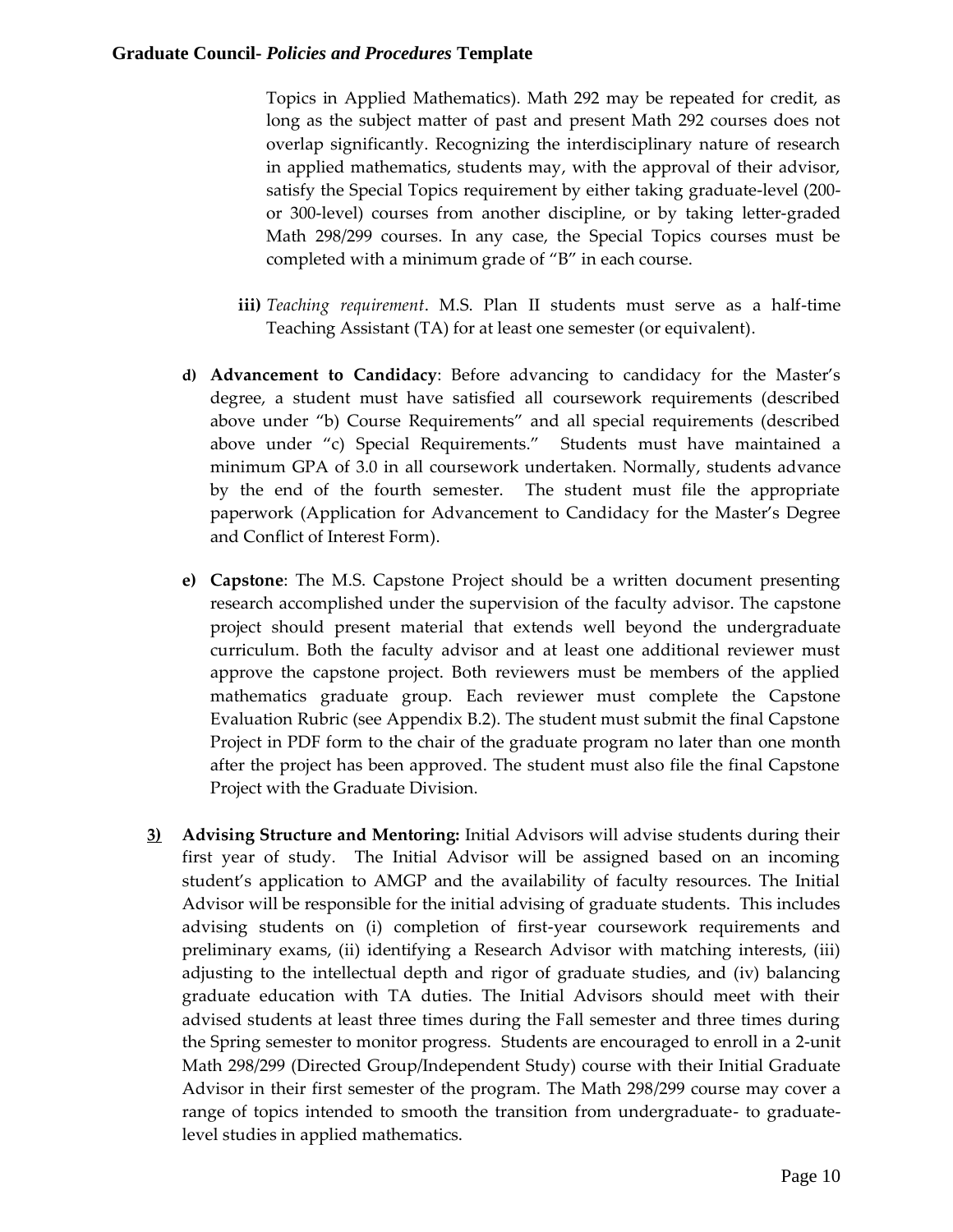Topics in Applied Mathematics). Math 292 may be repeated for credit, as long as the subject matter of past and present Math 292 courses does not overlap significantly. Recognizing the interdisciplinary nature of research in applied mathematics, students may, with the approval of their advisor, satisfy the Special Topics requirement by either taking graduate-level (200 or 300-level) courses from another discipline, or by taking letter-graded Math 298/299 courses. In any case, the Special Topics courses must be completed with a minimum grade of "B" in each course.

- **iii)** *Teaching requirement*. M.S. Plan II students must serve as a half-time Teaching Assistant (TA) for at least one semester (or equivalent).
- **d) Advancement to Candidacy**: Before advancing to candidacy for the Master's degree, a student must have satisfied all coursework requirements (described above under "b) Course Requirements" and all special requirements (described above under "c) Special Requirements." Students must have maintained a minimum GPA of 3.0 in all coursework undertaken. Normally, students advance by the end of the fourth semester. The student must file the appropriate paperwork (Application for Advancement to Candidacy for the Master's Degree and Conflict of Interest Form).
- **e) Capstone**: The M.S. Capstone Project should be a written document presenting research accomplished under the supervision of the faculty advisor. The capstone project should present material that extends well beyond the undergraduate curriculum. Both the faculty advisor and at least one additional reviewer must approve the capstone project. Both reviewers must be members of the applied mathematics graduate group. Each reviewer must complete the Capstone Evaluation Rubric (see Appendix B.2). The student must submit the final Capstone Project in PDF form to the chair of the graduate program no later than one month after the project has been approved. The student must also file the final Capstone Project with the Graduate Division.
- **3) Advising Structure and Mentoring:** Initial Advisors will advise students during their first year of study. The Initial Advisor will be assigned based on an incoming student's application to AMGP and the availability of faculty resources. The Initial Advisor will be responsible for the initial advising of graduate students. This includes advising students on (i) completion of first-year coursework requirements and preliminary exams, (ii) identifying a Research Advisor with matching interests, (iii) adjusting to the intellectual depth and rigor of graduate studies, and (iv) balancing graduate education with TA duties. The Initial Advisors should meet with their advised students at least three times during the Fall semester and three times during the Spring semester to monitor progress. Students are encouraged to enroll in a 2-unit Math 298/299 (Directed Group/Independent Study) course with their Initial Graduate Advisor in their first semester of the program. The Math 298/299 course may cover a range of topics intended to smooth the transition from undergraduate- to graduatelevel studies in applied mathematics.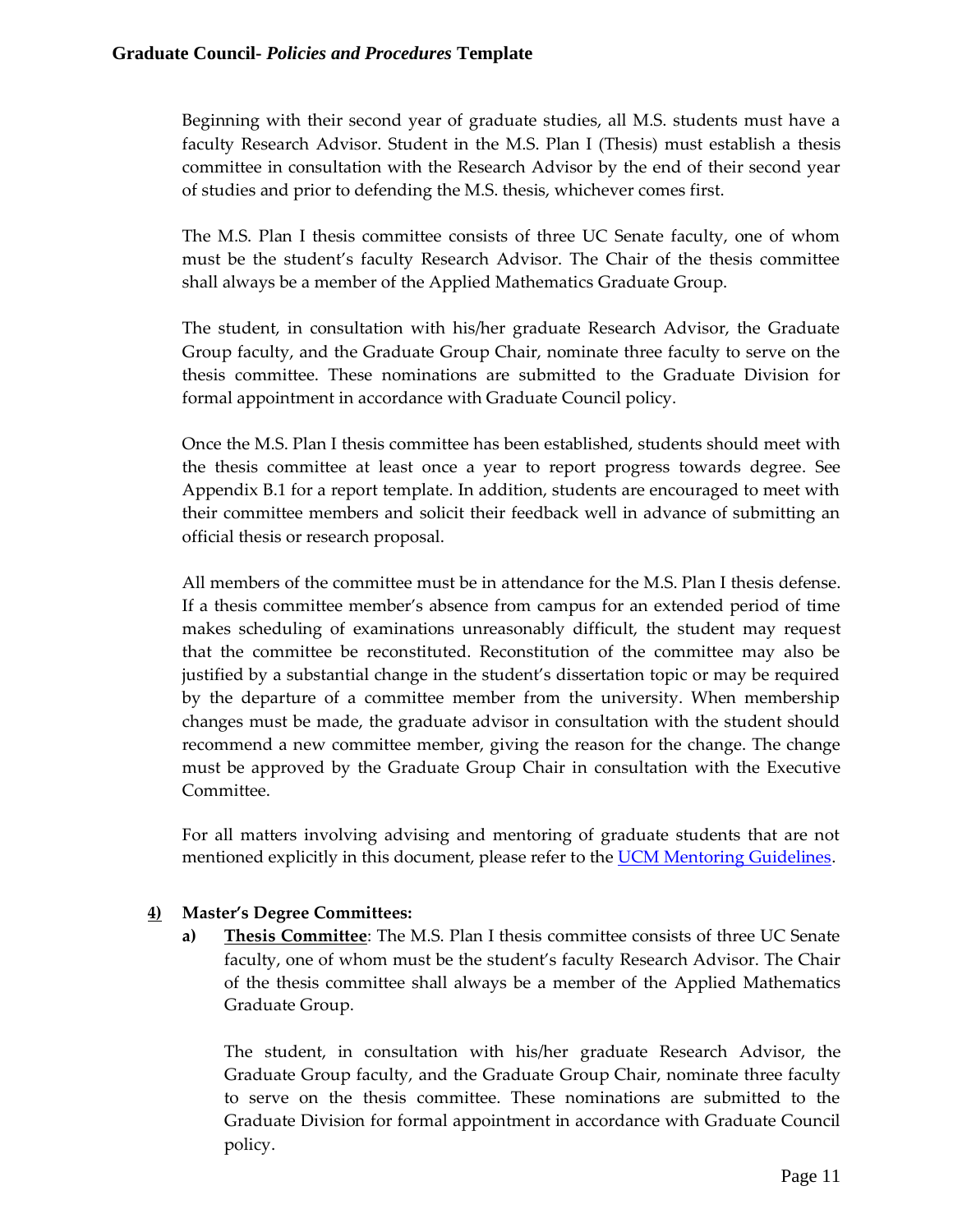Beginning with their second year of graduate studies, all M.S. students must have a faculty Research Advisor. Student in the M.S. Plan I (Thesis) must establish a thesis committee in consultation with the Research Advisor by the end of their second year of studies and prior to defending the M.S. thesis, whichever comes first.

The M.S. Plan I thesis committee consists of three UC Senate faculty, one of whom must be the student's faculty Research Advisor. The Chair of the thesis committee shall always be a member of the Applied Mathematics Graduate Group.

The student, in consultation with his/her graduate Research Advisor, the Graduate Group faculty, and the Graduate Group Chair, nominate three faculty to serve on the thesis committee. These nominations are submitted to the Graduate Division for formal appointment in accordance with Graduate Council policy.

Once the M.S. Plan I thesis committee has been established, students should meet with the thesis committee at least once a year to report progress towards degree. See Appendix B.1 for a report template. In addition, students are encouraged to meet with their committee members and solicit their feedback well in advance of submitting an official thesis or research proposal.

All members of the committee must be in attendance for the M.S. Plan I thesis defense. If a thesis committee member's absence from campus for an extended period of time makes scheduling of examinations unreasonably difficult, the student may request that the committee be reconstituted. Reconstitution of the committee may also be justified by a substantial change in the student's dissertation topic or may be required by the departure of a committee member from the university. When membership changes must be made, the graduate advisor in consultation with the student should recommend a new committee member, giving the reason for the change. The change must be approved by the Graduate Group Chair in consultation with the Executive Committee.

For all matters involving advising and mentoring of graduate students that are not mentioned explicitly in this document, please refer to the **UCM Mentoring Guidelines**.

# **4) Master's Degree Committees:**

**a) Thesis Committee**: The M.S. Plan I thesis committee consists of three UC Senate faculty, one of whom must be the student's faculty Research Advisor. The Chair of the thesis committee shall always be a member of the Applied Mathematics Graduate Group.

The student, in consultation with his/her graduate Research Advisor, the Graduate Group faculty, and the Graduate Group Chair, nominate three faculty to serve on the thesis committee. These nominations are submitted to the Graduate Division for formal appointment in accordance with Graduate Council policy.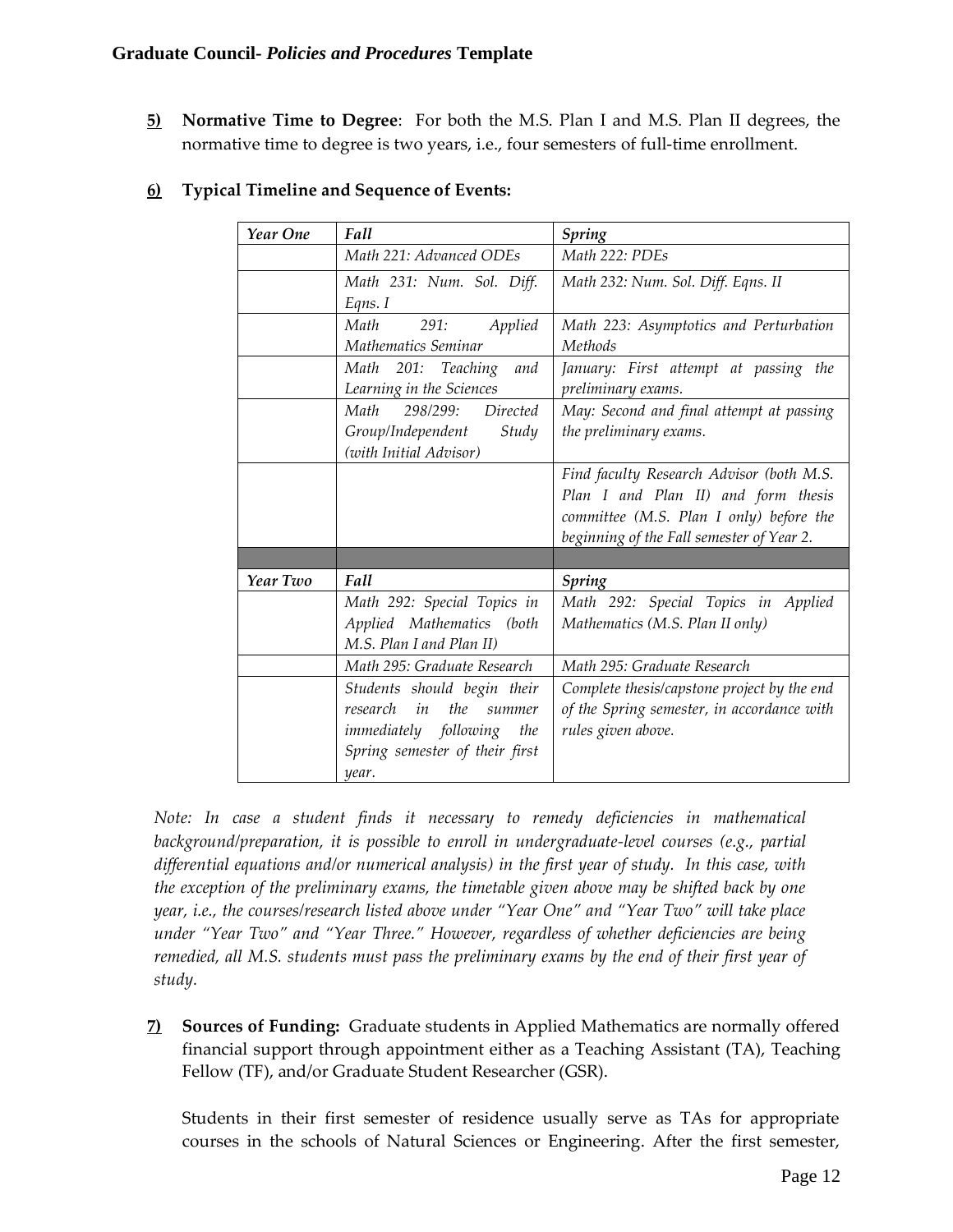**5) Normative Time to Degree**: For both the M.S. Plan I and M.S. Plan II degrees, the normative time to degree is two years, i.e., four semesters of full-time enrollment.

| Year One | Fall                                                 | <b>Spring</b>                               |
|----------|------------------------------------------------------|---------------------------------------------|
|          | Math 221: Advanced ODEs                              | Math 222: PDEs                              |
|          | Math 231: Num. Sol. Diff.                            | Math 232: Num. Sol. Diff. Eqns. II          |
|          | Eqns. I                                              |                                             |
|          | Math<br>291:<br>Applied                              | Math 223: Asymptotics and Perturbation      |
|          | Mathematics Seminar                                  | Methods                                     |
|          | Math 201: Teaching<br>and                            | January: First attempt at passing the       |
|          | Learning in the Sciences                             | preliminary exams.                          |
|          | Math<br>298/299: Directed                            | May: Second and final attempt at passing    |
|          | Group/Independent<br>Study<br>(with Initial Advisor) | the preliminary exams.                      |
|          |                                                      | Find faculty Research Advisor (both M.S.    |
|          |                                                      | Plan I and Plan II) and form thesis         |
|          |                                                      | committee (M.S. Plan I only) before the     |
|          |                                                      | beginning of the Fall semester of Year 2.   |
|          |                                                      |                                             |
| Year Two | Fall                                                 | <b>Spring</b>                               |
|          | Math 292: Special Topics in                          | Math 292: Special Topics in Applied         |
|          | Applied Mathematics (both                            | Mathematics (M.S. Plan II only)             |
|          | M.S. Plan I and Plan II)                             |                                             |
|          | Math 295: Graduate Research                          | Math 295: Graduate Research                 |
|          | Students should begin their                          | Complete thesis/capstone project by the end |
|          | in<br>the<br>research<br>summer                      | of the Spring semester, in accordance with  |
|          | <i>immediately</i> following<br>the                  | rules given above.                          |
|          | Spring semester of their first                       |                                             |
|          | year.                                                |                                             |

## **6) Typical Timeline and Sequence of Events:**

*Note: In case a student finds it necessary to remedy deficiencies in mathematical background/preparation, it is possible to enroll in undergraduate-level courses (e.g., partial differential equations and/or numerical analysis) in the first year of study. In this case, with the exception of the preliminary exams, the timetable given above may be shifted back by one year, i.e., the courses/research listed above under "Year One" and "Year Two" will take place under "Year Two" and "Year Three." However, regardless of whether deficiencies are being remedied, all M.S. students must pass the preliminary exams by the end of their first year of study.*

**7) Sources of Funding:** Graduate students in Applied Mathematics are normally offered financial support through appointment either as a Teaching Assistant (TA), Teaching Fellow (TF), and/or Graduate Student Researcher (GSR).

Students in their first semester of residence usually serve as TAs for appropriate courses in the schools of Natural Sciences or Engineering. After the first semester,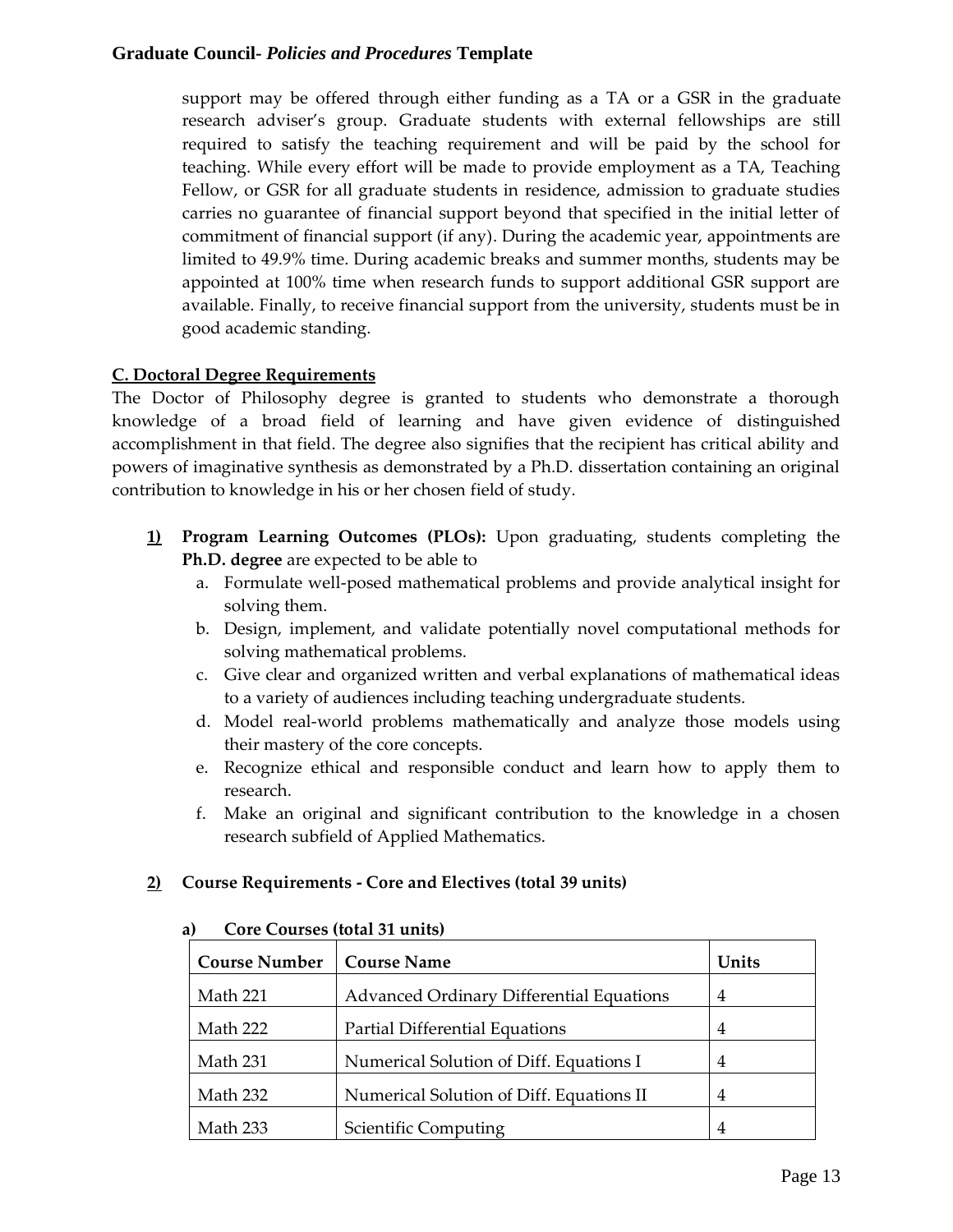support may be offered through either funding as a TA or a GSR in the graduate research adviser's group. Graduate students with external fellowships are still required to satisfy the teaching requirement and will be paid by the school for teaching. While every effort will be made to provide employment as a TA, Teaching Fellow, or GSR for all graduate students in residence, admission to graduate studies carries no guarantee of financial support beyond that specified in the initial letter of commitment of financial support (if any). During the academic year, appointments are limited to 49.9% time. During academic breaks and summer months, students may be appointed at 100% time when research funds to support additional GSR support are available. Finally, to receive financial support from the university, students must be in good academic standing.

## **C. Doctoral Degree Requirements**

The Doctor of Philosophy degree is granted to students who demonstrate a thorough knowledge of a broad field of learning and have given evidence of distinguished accomplishment in that field. The degree also signifies that the recipient has critical ability and powers of imaginative synthesis as demonstrated by a Ph.D. dissertation containing an original contribution to knowledge in his or her chosen field of study.

- **1) Program Learning Outcomes (PLOs):** Upon graduating, students completing the **Ph.D. degree** are expected to be able to
	- a. Formulate well-posed mathematical problems and provide analytical insight for solving them.
	- b. Design, implement, and validate potentially novel computational methods for solving mathematical problems.
	- c. Give clear and organized written and verbal explanations of mathematical ideas to a variety of audiences including teaching undergraduate students.
	- d. Model real-world problems mathematically and analyze those models using their mastery of the core concepts.
	- e. Recognize ethical and responsible conduct and learn how to apply them to research.
	- f. Make an original and significant contribution to the knowledge in a chosen research subfield of Applied Mathematics.

## **2) Course Requirements - Core and Electives (total 39 units)**

| Core Courses would be under |                                                 |                |
|-----------------------------|-------------------------------------------------|----------------|
| <b>Course Number</b>        | <b>Course Name</b>                              | Units          |
| Math 221                    | <b>Advanced Ordinary Differential Equations</b> | $\overline{4}$ |
| Math 222                    | <b>Partial Differential Equations</b>           | 4              |
| Math 231                    | Numerical Solution of Diff. Equations I         | 4              |
| Math 232                    | Numerical Solution of Diff. Equations II        | 4              |
| Math 233                    | Scientific Computing                            |                |

#### **a) Core Courses (total 31 units)**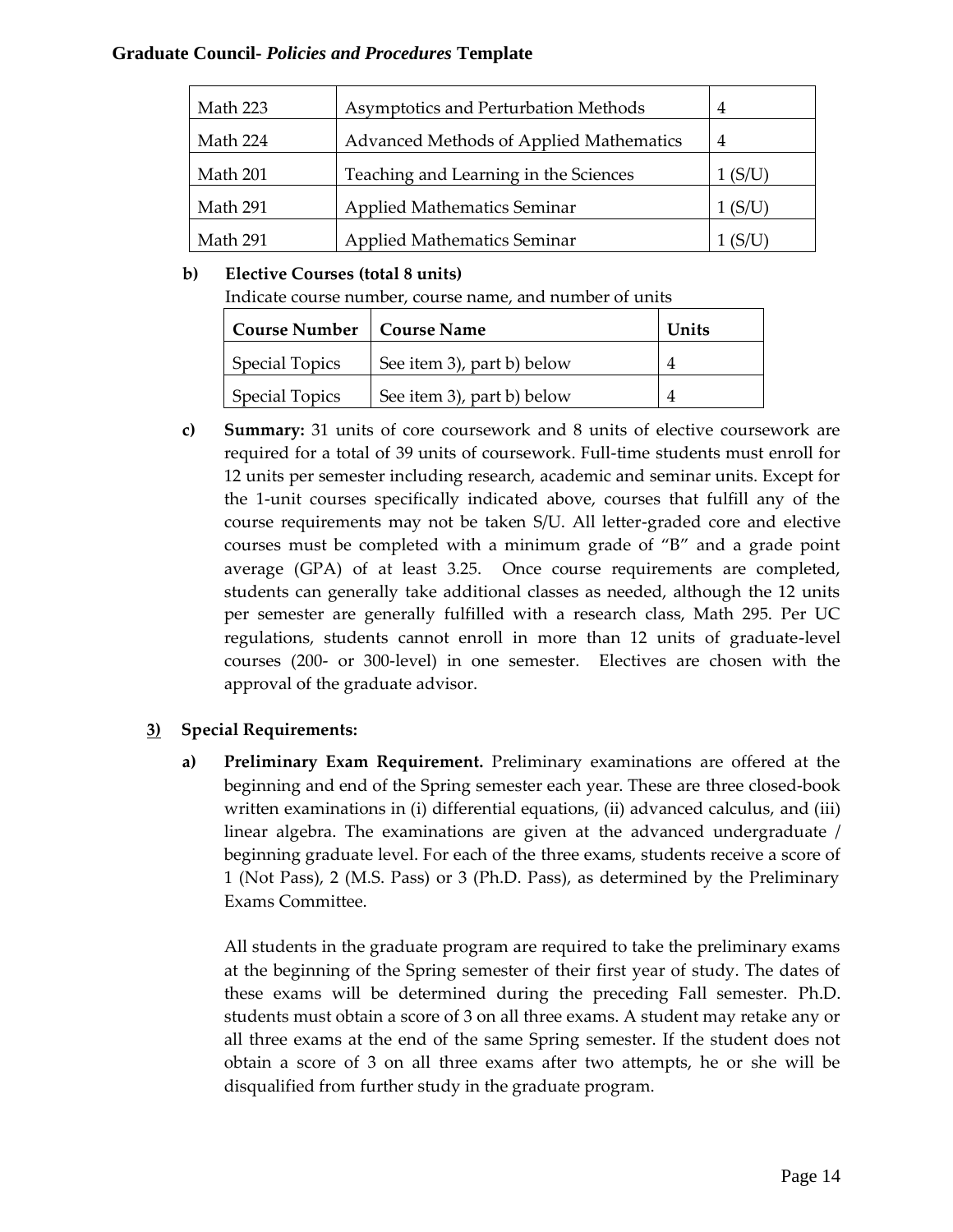| Math 223 | Asymptotics and Perturbation Methods    | 4       |
|----------|-----------------------------------------|---------|
| Math 224 | Advanced Methods of Applied Mathematics | 4       |
| Math 201 | Teaching and Learning in the Sciences   | 1 (S/U) |
| Math 291 | Applied Mathematics Seminar             | 1 (S/U  |
| Math 291 | <b>Applied Mathematics Seminar</b>      |         |

# **b) Elective Courses (total 8 units)**

Indicate course number, course name, and number of units

| <b>Course Number   Course Name</b> |                            | Units |
|------------------------------------|----------------------------|-------|
| <b>Special Topics</b>              | See item 3), part b) below |       |
| <b>Special Topics</b>              | See item 3), part b) below |       |

**c) Summary:** 31 units of core coursework and 8 units of elective coursework are required for a total of 39 units of coursework. Full-time students must enroll for 12 units per semester including research, academic and seminar units. Except for the 1-unit courses specifically indicated above, courses that fulfill any of the course requirements may not be taken S/U. All letter-graded core and elective courses must be completed with a minimum grade of "B" and a grade point average (GPA) of at least 3.25. Once course requirements are completed, students can generally take additional classes as needed, although the 12 units per semester are generally fulfilled with a research class, Math 295. Per UC regulations, students cannot enroll in more than 12 units of graduate-level courses (200- or 300-level) in one semester. Electives are chosen with the approval of the graduate advisor.

# **3) Special Requirements:**

**a) Preliminary Exam Requirement.** Preliminary examinations are offered at the beginning and end of the Spring semester each year. These are three closed-book written examinations in (i) differential equations, (ii) advanced calculus, and (iii) linear algebra. The examinations are given at the advanced undergraduate / beginning graduate level. For each of the three exams, students receive a score of 1 (Not Pass), 2 (M.S. Pass) or 3 (Ph.D. Pass), as determined by the Preliminary Exams Committee.

All students in the graduate program are required to take the preliminary exams at the beginning of the Spring semester of their first year of study. The dates of these exams will be determined during the preceding Fall semester. Ph.D. students must obtain a score of 3 on all three exams. A student may retake any or all three exams at the end of the same Spring semester. If the student does not obtain a score of 3 on all three exams after two attempts, he or she will be disqualified from further study in the graduate program.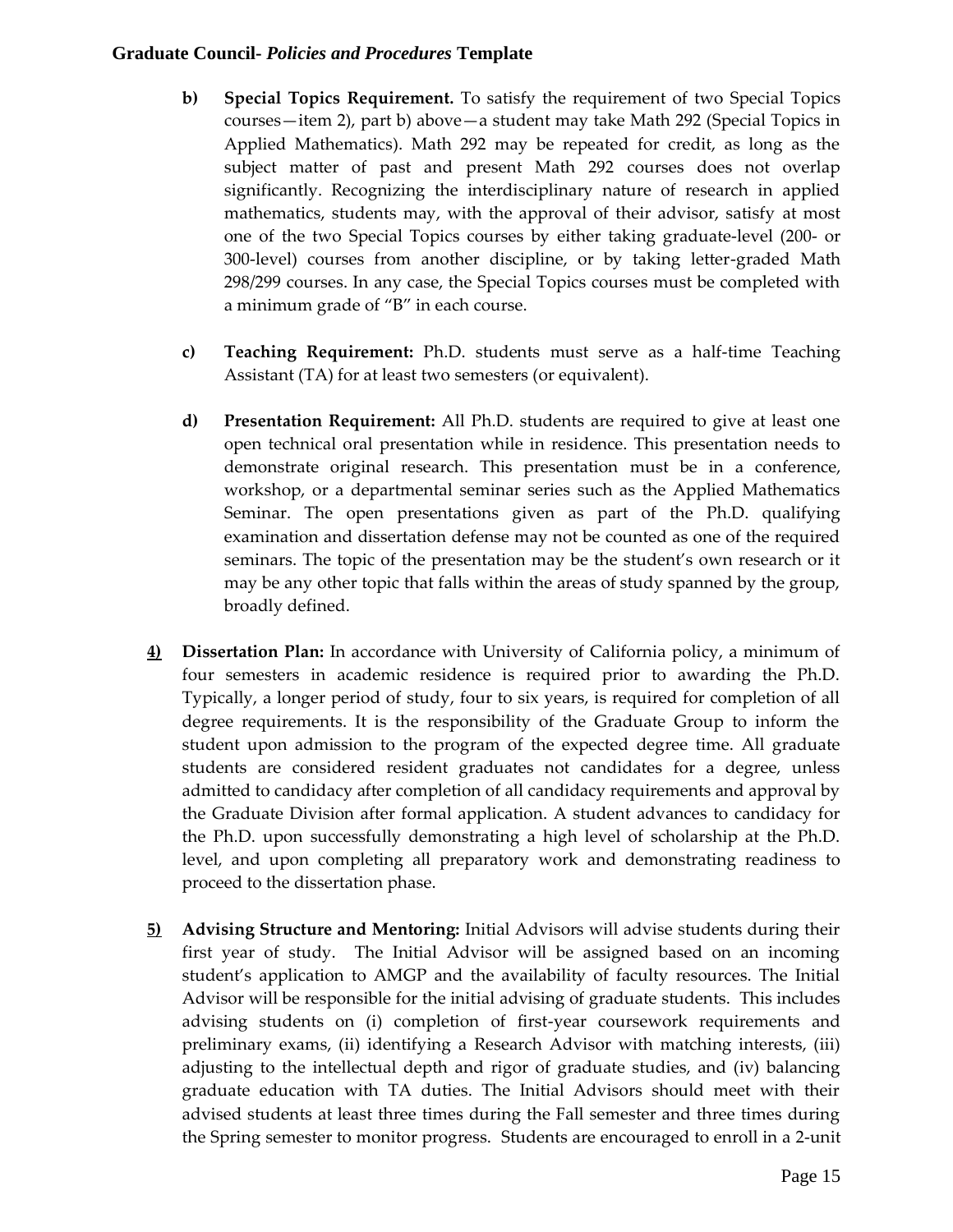- **b) Special Topics Requirement.** To satisfy the requirement of two Special Topics courses—item 2), part b) above—a student may take Math 292 (Special Topics in Applied Mathematics). Math 292 may be repeated for credit, as long as the subject matter of past and present Math 292 courses does not overlap significantly. Recognizing the interdisciplinary nature of research in applied mathematics, students may, with the approval of their advisor, satisfy at most one of the two Special Topics courses by either taking graduate-level (200- or 300-level) courses from another discipline, or by taking letter-graded Math 298/299 courses. In any case, the Special Topics courses must be completed with a minimum grade of "B" in each course.
- **c) Teaching Requirement:** Ph.D. students must serve as a half-time Teaching Assistant (TA) for at least two semesters (or equivalent).
- **d) Presentation Requirement:** All Ph.D. students are required to give at least one open technical oral presentation while in residence. This presentation needs to demonstrate original research. This presentation must be in a conference, workshop, or a departmental seminar series such as the Applied Mathematics Seminar. The open presentations given as part of the Ph.D. qualifying examination and dissertation defense may not be counted as one of the required seminars. The topic of the presentation may be the student's own research or it may be any other topic that falls within the areas of study spanned by the group, broadly defined.
- **4) Dissertation Plan:** In accordance with University of California policy, a minimum of four semesters in academic residence is required prior to awarding the Ph.D. Typically, a longer period of study, four to six years, is required for completion of all degree requirements. It is the responsibility of the Graduate Group to inform the student upon admission to the program of the expected degree time. All graduate students are considered resident graduates not candidates for a degree, unless admitted to candidacy after completion of all candidacy requirements and approval by the Graduate Division after formal application. A student advances to candidacy for the Ph.D. upon successfully demonstrating a high level of scholarship at the Ph.D. level, and upon completing all preparatory work and demonstrating readiness to proceed to the dissertation phase.
- **5) Advising Structure and Mentoring:** Initial Advisors will advise students during their first year of study. The Initial Advisor will be assigned based on an incoming student's application to AMGP and the availability of faculty resources. The Initial Advisor will be responsible for the initial advising of graduate students. This includes advising students on (i) completion of first-year coursework requirements and preliminary exams, (ii) identifying a Research Advisor with matching interests, (iii) adjusting to the intellectual depth and rigor of graduate studies, and (iv) balancing graduate education with TA duties. The Initial Advisors should meet with their advised students at least three times during the Fall semester and three times during the Spring semester to monitor progress. Students are encouraged to enroll in a 2-unit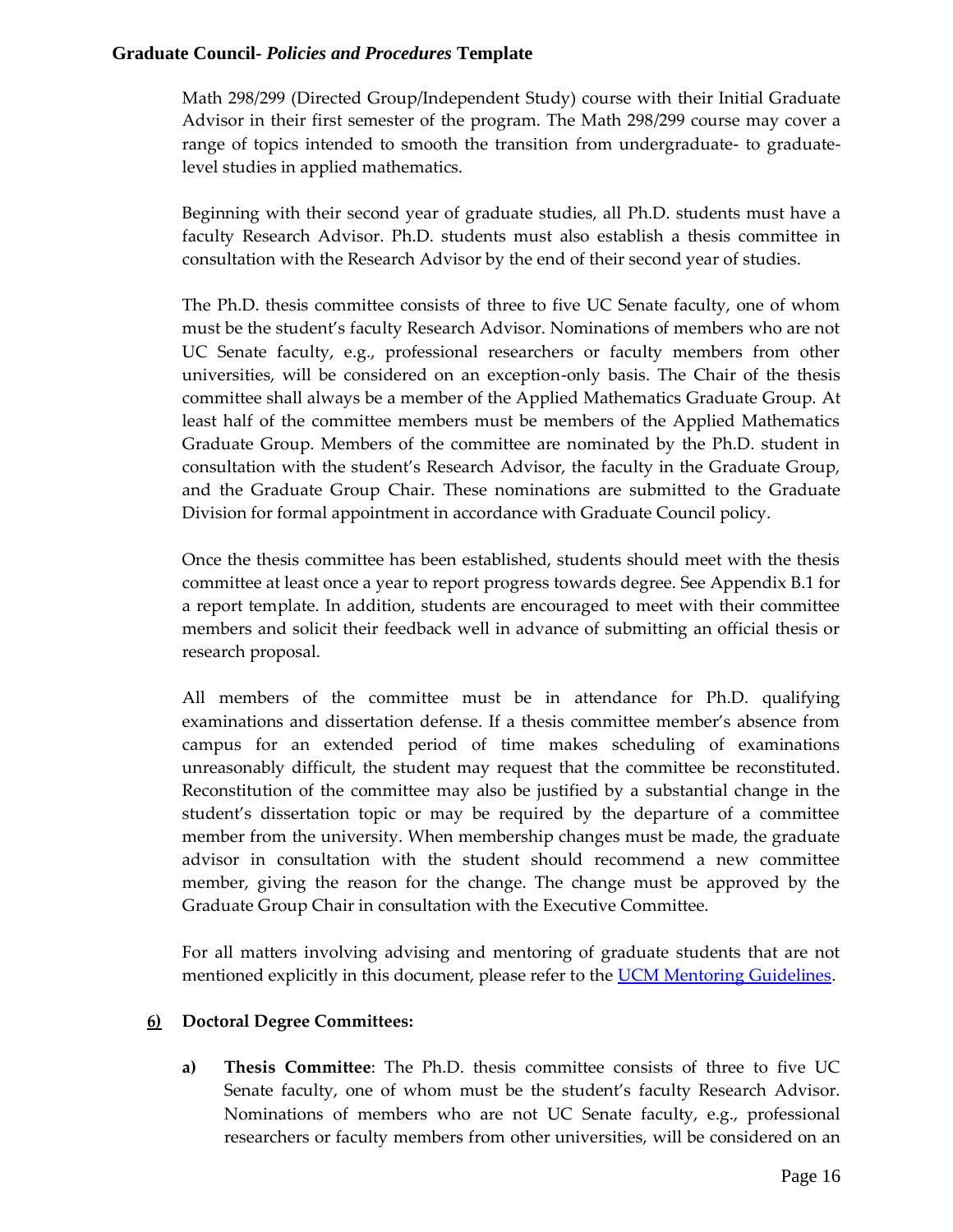Math 298/299 (Directed Group/Independent Study) course with their Initial Graduate Advisor in their first semester of the program. The Math 298/299 course may cover a range of topics intended to smooth the transition from undergraduate- to graduatelevel studies in applied mathematics.

Beginning with their second year of graduate studies, all Ph.D. students must have a faculty Research Advisor. Ph.D. students must also establish a thesis committee in consultation with the Research Advisor by the end of their second year of studies.

The Ph.D. thesis committee consists of three to five UC Senate faculty, one of whom must be the student's faculty Research Advisor. Nominations of members who are not UC Senate faculty, e.g., professional researchers or faculty members from other universities, will be considered on an exception-only basis. The Chair of the thesis committee shall always be a member of the Applied Mathematics Graduate Group. At least half of the committee members must be members of the Applied Mathematics Graduate Group. Members of the committee are nominated by the Ph.D. student in consultation with the student's Research Advisor, the faculty in the Graduate Group, and the Graduate Group Chair. These nominations are submitted to the Graduate Division for formal appointment in accordance with Graduate Council policy.

Once the thesis committee has been established, students should meet with the thesis committee at least once a year to report progress towards degree. See Appendix B.1 for a report template. In addition, students are encouraged to meet with their committee members and solicit their feedback well in advance of submitting an official thesis or research proposal.

All members of the committee must be in attendance for Ph.D. qualifying examinations and dissertation defense. If a thesis committee member's absence from campus for an extended period of time makes scheduling of examinations unreasonably difficult, the student may request that the committee be reconstituted. Reconstitution of the committee may also be justified by a substantial change in the student's dissertation topic or may be required by the departure of a committee member from the university. When membership changes must be made, the graduate advisor in consultation with the student should recommend a new committee member, giving the reason for the change. The change must be approved by the Graduate Group Chair in consultation with the Executive Committee.

For all matters involving advising and mentoring of graduate students that are not mentioned explicitly in this document, please refer to the **UCM Mentoring Guidelines**.

## **6) Doctoral Degree Committees:**

**a) Thesis Committee**: The Ph.D. thesis committee consists of three to five UC Senate faculty, one of whom must be the student's faculty Research Advisor. Nominations of members who are not UC Senate faculty, e.g., professional researchers or faculty members from other universities, will be considered on an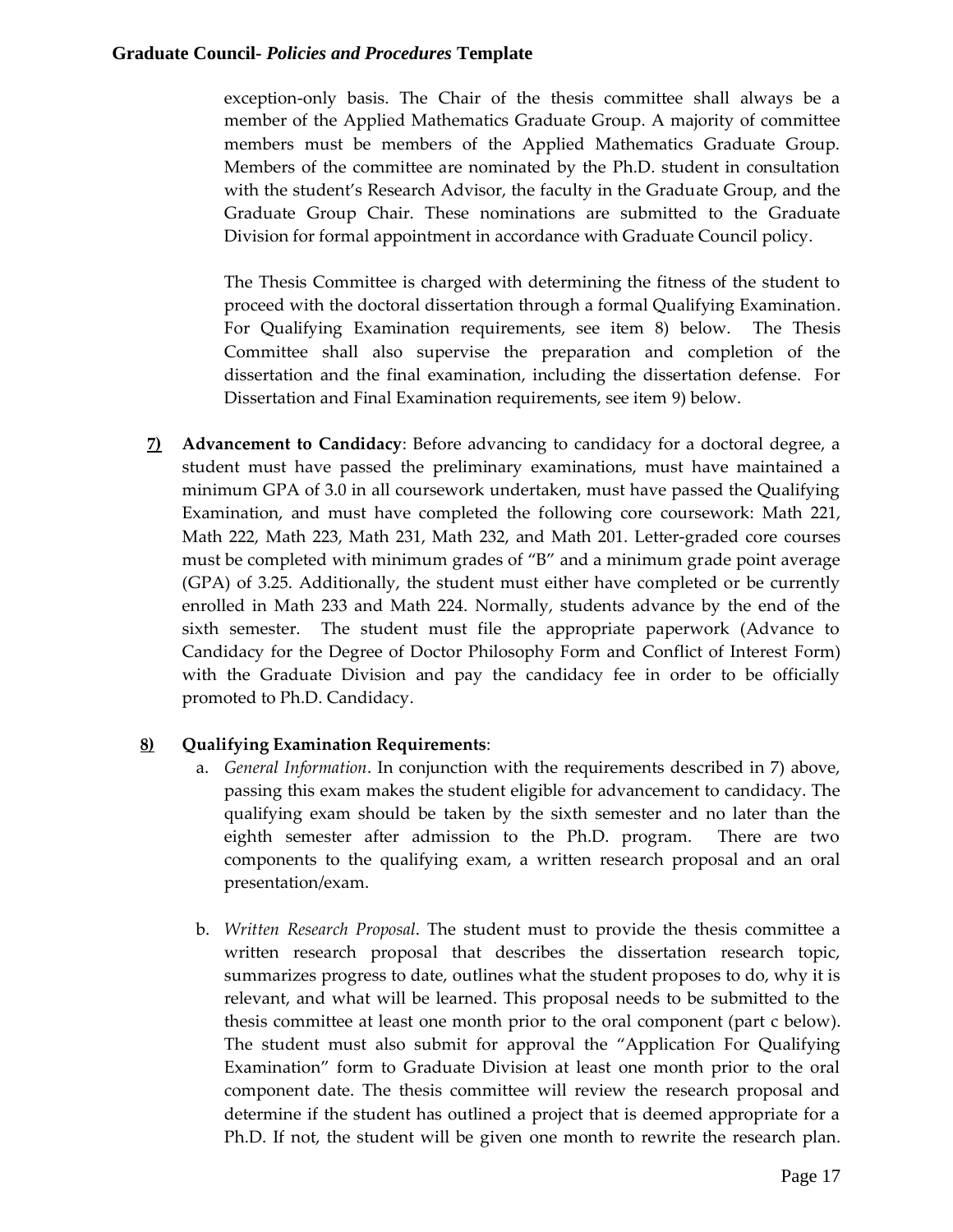exception-only basis. The Chair of the thesis committee shall always be a member of the Applied Mathematics Graduate Group. A majority of committee members must be members of the Applied Mathematics Graduate Group. Members of the committee are nominated by the Ph.D. student in consultation with the student's Research Advisor, the faculty in the Graduate Group, and the Graduate Group Chair. These nominations are submitted to the Graduate Division for formal appointment in accordance with Graduate Council policy.

The Thesis Committee is charged with determining the fitness of the student to proceed with the doctoral dissertation through a formal Qualifying Examination. For Qualifying Examination requirements, see item 8) below. The Thesis Committee shall also supervise the preparation and completion of the dissertation and the final examination, including the dissertation defense. For Dissertation and Final Examination requirements, see item 9) below.

**7) Advancement to Candidacy**: Before advancing to candidacy for a doctoral degree, a student must have passed the preliminary examinations, must have maintained a minimum GPA of 3.0 in all coursework undertaken, must have passed the Qualifying Examination, and must have completed the following core coursework: Math 221, Math 222, Math 223, Math 231, Math 232, and Math 201. Letter-graded core courses must be completed with minimum grades of "B" and a minimum grade point average (GPA) of 3.25. Additionally, the student must either have completed or be currently enrolled in Math 233 and Math 224. Normally, students advance by the end of the sixth semester. The student must file the appropriate paperwork (Advance to Candidacy for the Degree of Doctor Philosophy Form and Conflict of Interest Form) with the Graduate Division and pay the candidacy fee in order to be officially promoted to Ph.D. Candidacy.

## **8) Qualifying Examination Requirements**:

- a. *General Information*. In conjunction with the requirements described in 7) above, passing this exam makes the student eligible for advancement to candidacy. The qualifying exam should be taken by the sixth semester and no later than the eighth semester after admission to the Ph.D. program. There are two components to the qualifying exam, a written research proposal and an oral presentation/exam.
- b. *Written Research Proposal*. The student must to provide the thesis committee a written research proposal that describes the dissertation research topic, summarizes progress to date, outlines what the student proposes to do, why it is relevant, and what will be learned. This proposal needs to be submitted to the thesis committee at least one month prior to the oral component (part c below). The student must also submit for approval the "Application For Qualifying Examination" form to Graduate Division at least one month prior to the oral component date. The thesis committee will review the research proposal and determine if the student has outlined a project that is deemed appropriate for a Ph.D. If not, the student will be given one month to rewrite the research plan.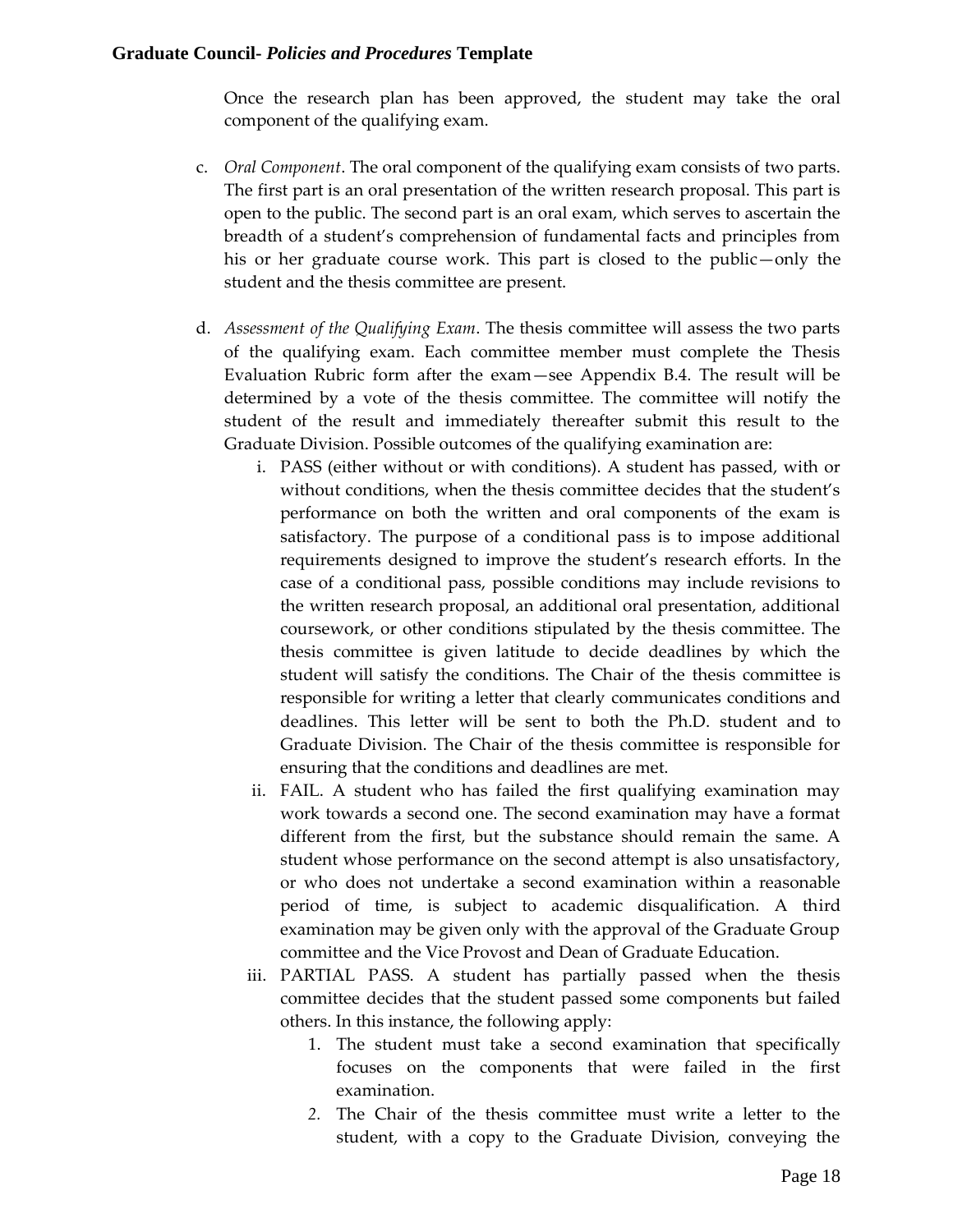Once the research plan has been approved, the student may take the oral component of the qualifying exam.

- c. *Oral Component*. The oral component of the qualifying exam consists of two parts. The first part is an oral presentation of the written research proposal. This part is open to the public. The second part is an oral exam, which serves to ascertain the breadth of a student's comprehension of fundamental facts and principles from his or her graduate course work. This part is closed to the public—only the student and the thesis committee are present.
- d. *Assessment of the Qualifying Exam*. The thesis committee will assess the two parts of the qualifying exam. Each committee member must complete the Thesis Evaluation Rubric form after the exam—see Appendix B.4. The result will be determined by a vote of the thesis committee. The committee will notify the student of the result and immediately thereafter submit this result to the Graduate Division. Possible outcomes of the qualifying examination are:
	- i. PASS (either without or with conditions). A student has passed, with or without conditions, when the thesis committee decides that the student's performance on both the written and oral components of the exam is satisfactory. The purpose of a conditional pass is to impose additional requirements designed to improve the student's research efforts. In the case of a conditional pass, possible conditions may include revisions to the written research proposal, an additional oral presentation, additional coursework, or other conditions stipulated by the thesis committee. The thesis committee is given latitude to decide deadlines by which the student will satisfy the conditions. The Chair of the thesis committee is responsible for writing a letter that clearly communicates conditions and deadlines. This letter will be sent to both the Ph.D. student and to Graduate Division. The Chair of the thesis committee is responsible for ensuring that the conditions and deadlines are met.
	- ii. FAIL. A student who has failed the first qualifying examination may work towards a second one. The second examination may have a format different from the first, but the substance should remain the same. A student whose performance on the second attempt is also unsatisfactory, or who does not undertake a second examination within a reasonable period of time, is subject to academic disqualification. A third examination may be given only with the approval of the Graduate Group committee and the Vice Provost and Dean of Graduate Education.
	- iii. PARTIAL PASS. A student has partially passed when the thesis committee decides that the student passed some components but failed others. In this instance, the following apply:
		- 1. The student must take a second examination that specifically focuses on the components that were failed in the first examination.
		- *2.* The Chair of the thesis committee must write a letter to the student, with a copy to the Graduate Division, conveying the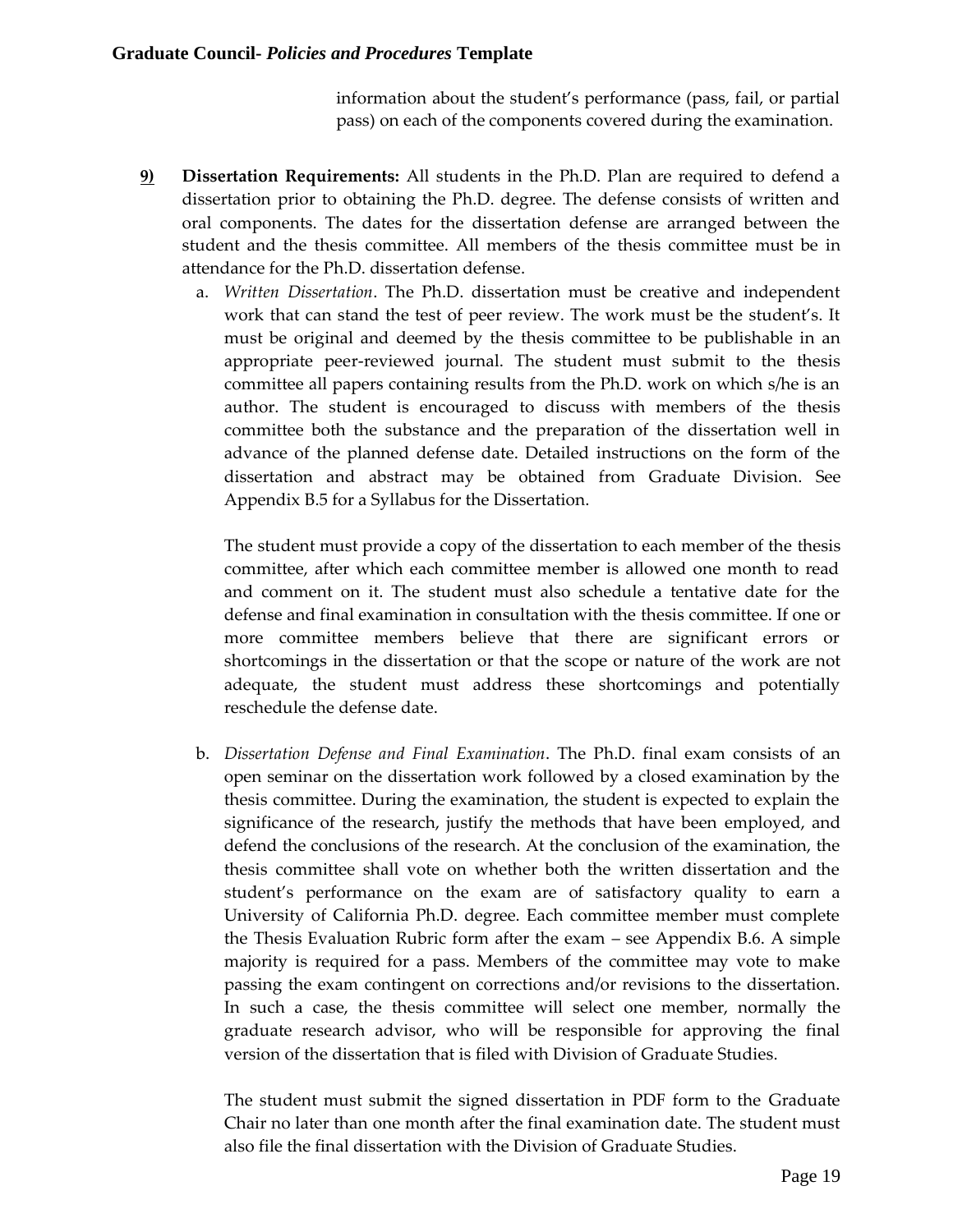information about the student's performance (pass, fail, or partial pass) on each of the components covered during the examination.

- **9) Dissertation Requirements:** All students in the Ph.D. Plan are required to defend a dissertation prior to obtaining the Ph.D. degree. The defense consists of written and oral components. The dates for the dissertation defense are arranged between the student and the thesis committee. All members of the thesis committee must be in attendance for the Ph.D. dissertation defense.
	- a. *Written Dissertation*. The Ph.D. dissertation must be creative and independent work that can stand the test of peer review. The work must be the student's. It must be original and deemed by the thesis committee to be publishable in an appropriate peer-reviewed journal. The student must submit to the thesis committee all papers containing results from the Ph.D. work on which s/he is an author. The student is encouraged to discuss with members of the thesis committee both the substance and the preparation of the dissertation well in advance of the planned defense date. Detailed instructions on the form of the dissertation and abstract may be obtained from Graduate Division. See Appendix B.5 for a Syllabus for the Dissertation.

The student must provide a copy of the dissertation to each member of the thesis committee, after which each committee member is allowed one month to read and comment on it. The student must also schedule a tentative date for the defense and final examination in consultation with the thesis committee. If one or more committee members believe that there are significant errors or shortcomings in the dissertation or that the scope or nature of the work are not adequate, the student must address these shortcomings and potentially reschedule the defense date.

b. *Dissertation Defense and Final Examination*. The Ph.D. final exam consists of an open seminar on the dissertation work followed by a closed examination by the thesis committee. During the examination, the student is expected to explain the significance of the research, justify the methods that have been employed, and defend the conclusions of the research. At the conclusion of the examination, the thesis committee shall vote on whether both the written dissertation and the student's performance on the exam are of satisfactory quality to earn a University of California Ph.D. degree. Each committee member must complete the Thesis Evaluation Rubric form after the exam – see Appendix B.6. A simple majority is required for a pass. Members of the committee may vote to make passing the exam contingent on corrections and/or revisions to the dissertation. In such a case, the thesis committee will select one member, normally the graduate research advisor, who will be responsible for approving the final version of the dissertation that is filed with Division of Graduate Studies.

The student must submit the signed dissertation in PDF form to the Graduate Chair no later than one month after the final examination date. The student must also file the final dissertation with the Division of Graduate Studies.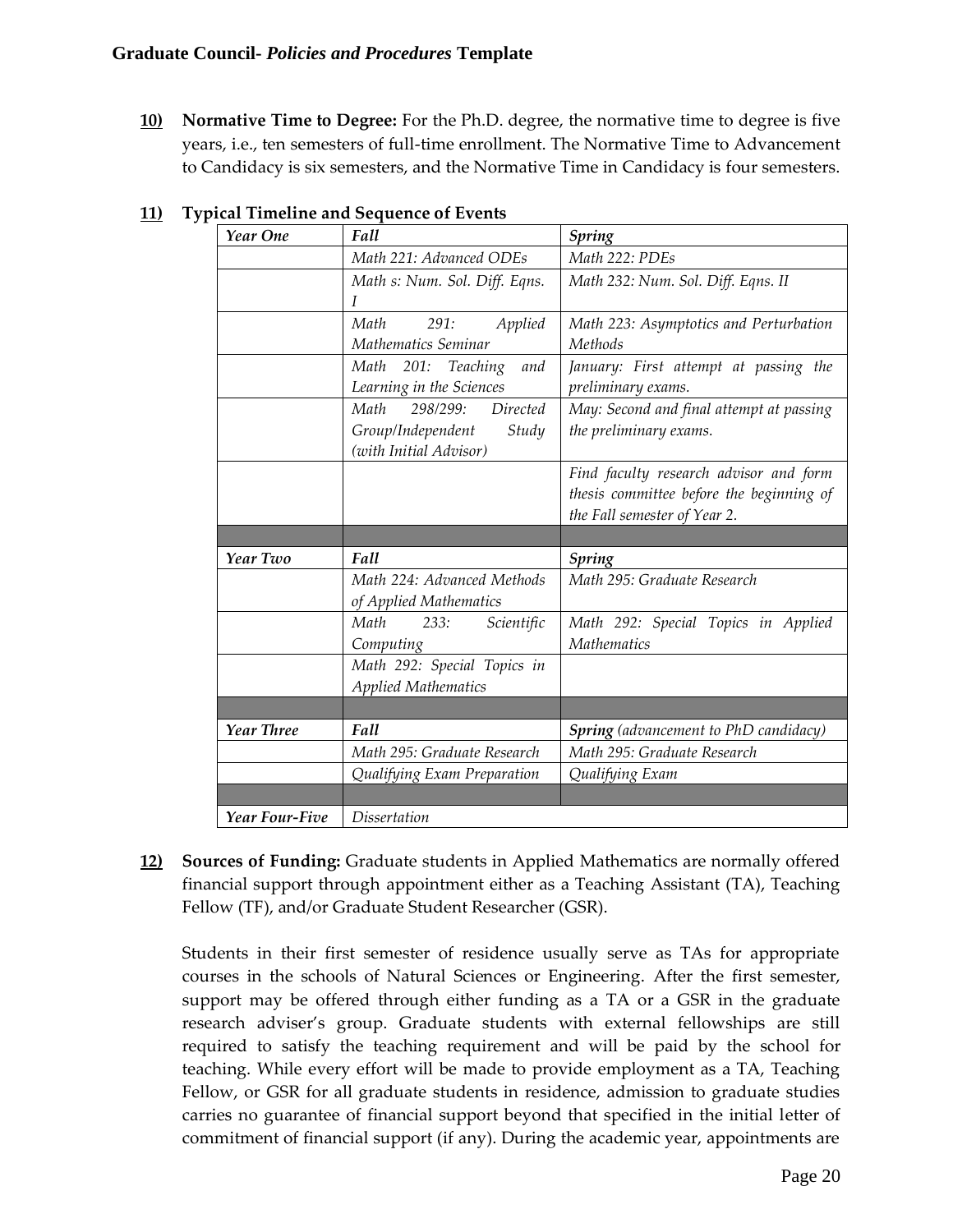**10) Normative Time to Degree:** For the Ph.D. degree, the normative time to degree is five years, i.e., ten semesters of full-time enrollment. The Normative Time to Advancement to Candidacy is six semesters, and the Normative Time in Candidacy is four semesters.

| Year One   | car runcinic and ocquence or Events<br>Fall | Spring                                       |
|------------|---------------------------------------------|----------------------------------------------|
|            | Math 221: Advanced ODEs                     | Math 222: PDEs                               |
|            | Math s: Num. Sol. Diff. Eqns.               | Math 232: Num. Sol. Diff. Eqns. II           |
|            | I                                           |                                              |
|            | Math<br>Applied<br>291:                     | Math 223: Asymptotics and Perturbation       |
|            | Mathematics Seminar                         | Methods                                      |
|            | Math 201: Teaching<br>and                   | January: First attempt at passing the        |
|            | Learning in the Sciences                    | preliminary exams.                           |
|            | Math<br>Directed<br>298/299:                | May: Second and final attempt at passing     |
|            | Group/Independent<br>Study                  | the preliminary exams.                       |
|            | (with Initial Advisor)                      |                                              |
|            |                                             | Find faculty research advisor and form       |
|            |                                             | thesis committee before the beginning of     |
|            |                                             | the Fall semester of Year 2.                 |
|            |                                             |                                              |
|            |                                             |                                              |
| Year Two   | Fall                                        | <b>Spring</b>                                |
|            | Math 224: Advanced Methods                  | Math 295: Graduate Research                  |
|            | of Applied Mathematics                      |                                              |
|            | 233: Scientific<br>Math                     | Math 292: Special Topics in Applied          |
|            | Computing                                   | <b>Mathematics</b>                           |
|            | Math 292: Special Topics in                 |                                              |
|            | <b>Applied Mathematics</b>                  |                                              |
|            |                                             |                                              |
| Year Three | Fall                                        | <b>Spring</b> (advancement to PhD candidacy) |
|            | Math 295: Graduate Research                 | Math 295: Graduate Research                  |
|            | Qualifying Exam Preparation                 | Qualifying Exam                              |
|            |                                             |                                              |

## **11) Typical Timeline and Sequence of Events**

**12) Sources of Funding:** Graduate students in Applied Mathematics are normally offered financial support through appointment either as a Teaching Assistant (TA), Teaching Fellow (TF), and/or Graduate Student Researcher (GSR).

Students in their first semester of residence usually serve as TAs for appropriate courses in the schools of Natural Sciences or Engineering. After the first semester, support may be offered through either funding as a TA or a GSR in the graduate research adviser's group. Graduate students with external fellowships are still required to satisfy the teaching requirement and will be paid by the school for teaching. While every effort will be made to provide employment as a TA, Teaching Fellow, or GSR for all graduate students in residence, admission to graduate studies carries no guarantee of financial support beyond that specified in the initial letter of commitment of financial support (if any). During the academic year, appointments are